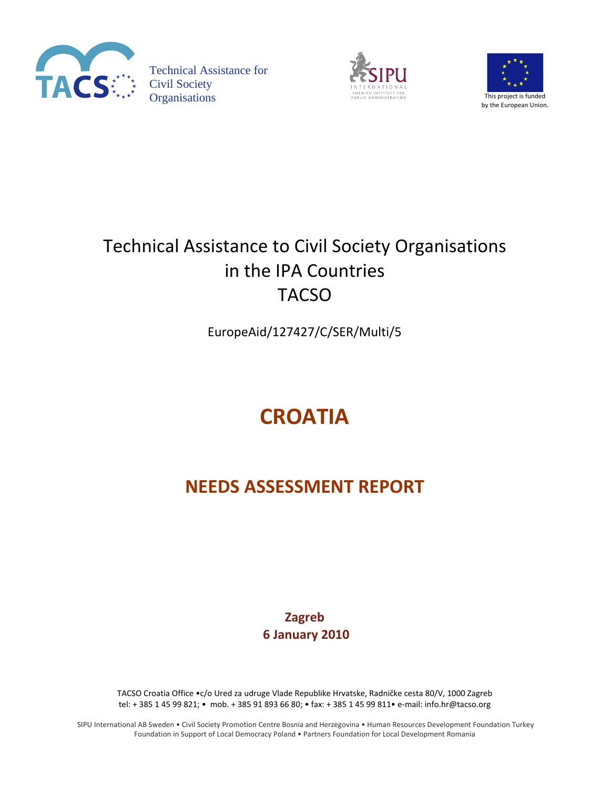

Technical Assistance for Organisations This project is funded





## Technical Assistance to Civil Society Organisations in the IPA Countries TACSO

EuropeAid/127427/C/SER/Multi/5

# **CROATIA**

## **NEEDS ASSESSMENT REPORT**

**Zagreb 6 January 2010**

TACSO Croatia Office •c/o Ured za udruge Vlade Republike Hrvatske, Radničke cesta 80/V, 1000 Zagreb tel: + 385 1 45 99 821; • mob. + 385 91 893 66 80; • fax: + 385 1 45 99 811• e-mail: info.hr@tacso.org

SIPU International AB Sweden • Civil Society Promotion Centre Bosnia and Herzegovina • Human Resources Development Foundation Turkey Foundation in Support of Local Democracy Poland • Partners Foundation for Local Development Romania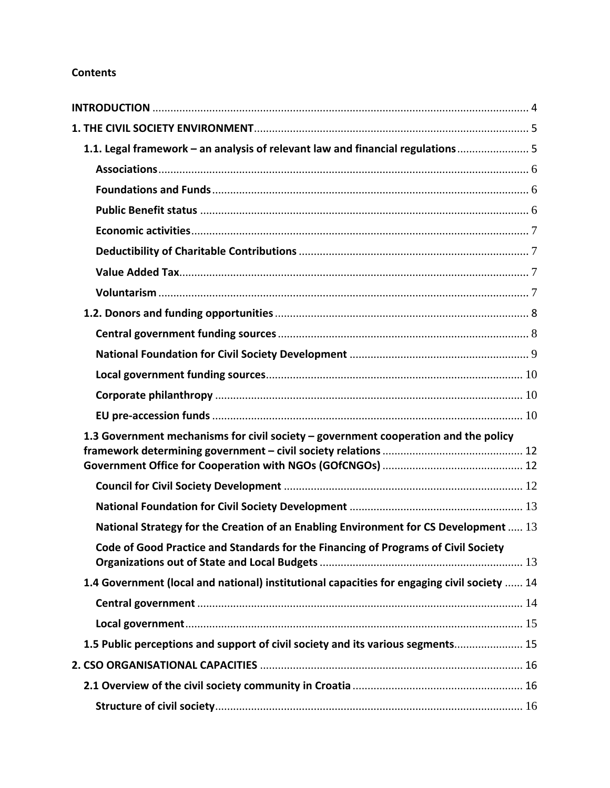## **Contents**

| 1.1. Legal framework - an analysis of relevant law and financial regulations 5              |  |
|---------------------------------------------------------------------------------------------|--|
|                                                                                             |  |
|                                                                                             |  |
|                                                                                             |  |
|                                                                                             |  |
|                                                                                             |  |
|                                                                                             |  |
|                                                                                             |  |
|                                                                                             |  |
|                                                                                             |  |
|                                                                                             |  |
|                                                                                             |  |
|                                                                                             |  |
|                                                                                             |  |
| 1.3 Government mechanisms for civil society - government cooperation and the policy         |  |
|                                                                                             |  |
|                                                                                             |  |
|                                                                                             |  |
|                                                                                             |  |
| National Strategy for the Creation of an Enabling Environment for CS Development  13        |  |
| Code of Good Practice and Standards for the Financing of Programs of Civil Society          |  |
| 1.4 Government (local and national) institutional capacities for engaging civil society  14 |  |
|                                                                                             |  |
|                                                                                             |  |
| 1.5 Public perceptions and support of civil society and its various segments 15             |  |
|                                                                                             |  |
|                                                                                             |  |
|                                                                                             |  |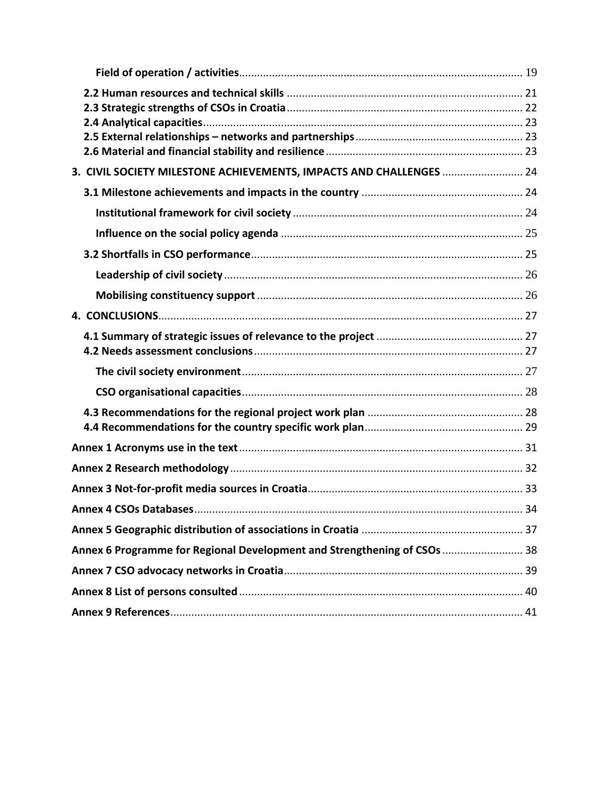| 3. CIVIL SOCIETY MILESTONE ACHIEVEMENTS, IMPACTS AND CHALLENGES  24      |  |  |
|--------------------------------------------------------------------------|--|--|
|                                                                          |  |  |
|                                                                          |  |  |
|                                                                          |  |  |
|                                                                          |  |  |
|                                                                          |  |  |
|                                                                          |  |  |
|                                                                          |  |  |
|                                                                          |  |  |
|                                                                          |  |  |
|                                                                          |  |  |
|                                                                          |  |  |
|                                                                          |  |  |
|                                                                          |  |  |
|                                                                          |  |  |
|                                                                          |  |  |
|                                                                          |  |  |
| Annex 6 Programme for Regional Development and Strengthening of CSOs  38 |  |  |
|                                                                          |  |  |
|                                                                          |  |  |
|                                                                          |  |  |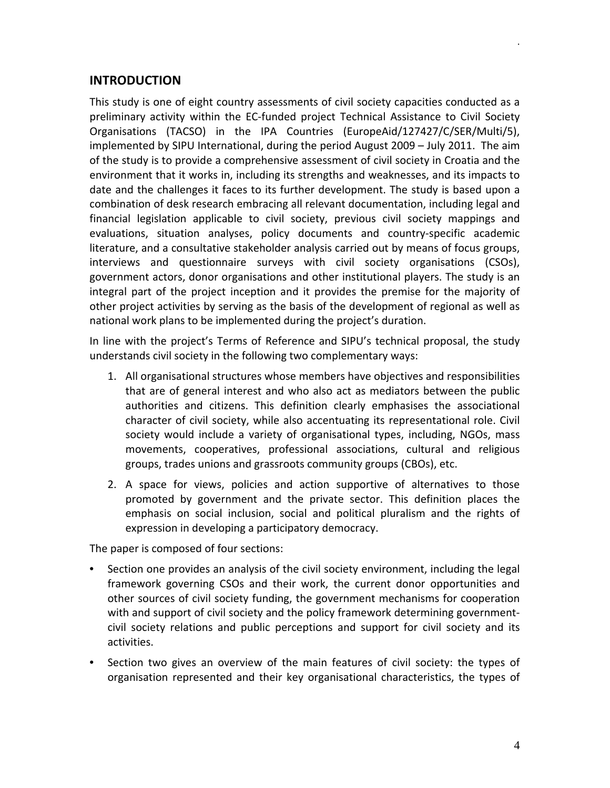## <span id="page-3-0"></span>**INTRODUCTION**

This study is one of eight country assessments of civil society capacities conducted as a preliminary activity within the EC-funded project Technical Assistance to Civil Society Organisations (TACSO) in the IPA Countries (EuropeAid/127427/C/SER/Multi/5), implemented by SIPU International, during the period August 2009 – July 2011. The aim of the study is to provide a comprehensive assessment of civil society in Croatia and the environment that it works in, including its strengths and weaknesses, and its impacts to date and the challenges it faces to its further development. The study is based upon a combination of desk research embracing all relevant documentation, including legal and financial legislation applicable to civil society, previous civil society mappings and evaluations, situation analyses, policy documents and country-specific academic literature, and a consultative stakeholder analysis carried out by means of focus groups, interviews and questionnaire surveys with civil society organisations (CSOs), government actors, donor organisations and other institutional players. The study is an integral part of the project inception and it provides the premise for the majority of other project activities by serving as the basis of the development of regional as well as national work plans to be implemented during the project's duration.

In line with the project's Terms of Reference and SIPU's technical proposal, the study understands civil society in the following two complementary ways:

- 1. All organisational structures whose members have objectives and responsibilities that are of general interest and who also act as mediators between the public authorities and citizens. This definition clearly emphasises the associational character of civil society, while also accentuating its representational role. Civil society would include a variety of organisational types, including, NGOs, mass movements, cooperatives, professional associations, cultural and religious groups, trades unions and grassroots community groups (CBOs), etc.
- 2. A space for views, policies and action supportive of alternatives to those promoted by government and the private sector. This definition places the emphasis on social inclusion, social and political pluralism and the rights of expression in developing a participatory democracy.

The paper is composed of four sections:

- Section one provides an analysis of the civil society environment, including the legal framework governing CSOs and their work, the current donor opportunities and other sources of civil society funding, the government mechanisms for cooperation with and support of civil society and the policy framework determining governmentcivil society relations and public perceptions and support for civil society and its activities.
- Section two gives an overview of the main features of civil society: the types of organisation represented and their key organisational characteristics, the types of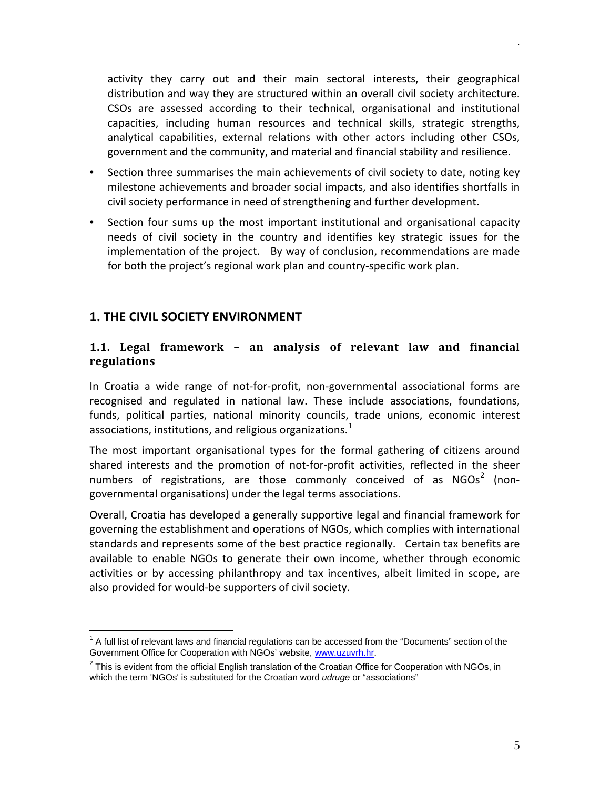activity they carry out and their main sectoral interests, their geographical distribution and way they are structured within an overall civil society architecture. CSOs are assessed according to their technical, organisational and institutional capacities, including human resources and technical skills, strategic strengths, analytical capabilities, external relations with other actors including other CSOs, government and the community, and material and financial stability and resilience.

- Section three summarises the main achievements of civil society to date, noting key milestone achievements and broader social impacts, and also identifies shortfalls in civil society performance in need of strengthening and further development.
- Section four sums up the most important institutional and organisational capacity needs of civil society in the country and identifies key strategic issues for the implementation of the project. By way of conclusion, recommendations are made for both the project's regional work plan and country-specific work plan.

## <span id="page-4-0"></span>**1. THE CIVIL SOCIETY ENVIRONMENT**

## <span id="page-4-1"></span>**1.1. Legal framework – an analysis of relevant law and financial regulations**

In Croatia a wide range of not-for-profit, non-governmental associational forms are recognised and regulated in national law. These include associations, foundations, funds, political parties, national minority councils, trade unions, economic interest associations, institutions, and religious organizations.<sup>[1](#page-4-2)</sup>

The most important organisational types for the formal gathering of citizens around shared interests and the promotion of not-for-profit activities, reflected in the sheer numbers of registrations, are those commonly conceived of as  $NGOs<sup>2</sup>$  $NGOs<sup>2</sup>$  $NGOs<sup>2</sup>$  (nongovernmental organisations) under the legal terms associations.

Overall, Croatia has developed a generally supportive legal and financial framework for governing the establishment and operations of NGOs, which complies with international standards and represents some of the best practice regionally. Certain tax benefits are available to enable NGOs to generate their own income, whether through economic activities or by accessing philanthropy and tax incentives, albeit limited in scope, are also provided for would-be supporters of civil society.

<span id="page-4-2"></span> $<sup>1</sup>$  A full list of relevant laws and financial regulations can be accessed from the "Documents" section of the</sup> Government Office for Cooperation with NGOs' website, [www.uzuvrh.hr](http://www.uzuvrh.hr/).

<span id="page-4-3"></span> $2$  This is evident from the official English translation of the Croatian Office for Cooperation with NGOs, in which the term 'NGOs' is substituted for the Croatian word *udruge* or "associations"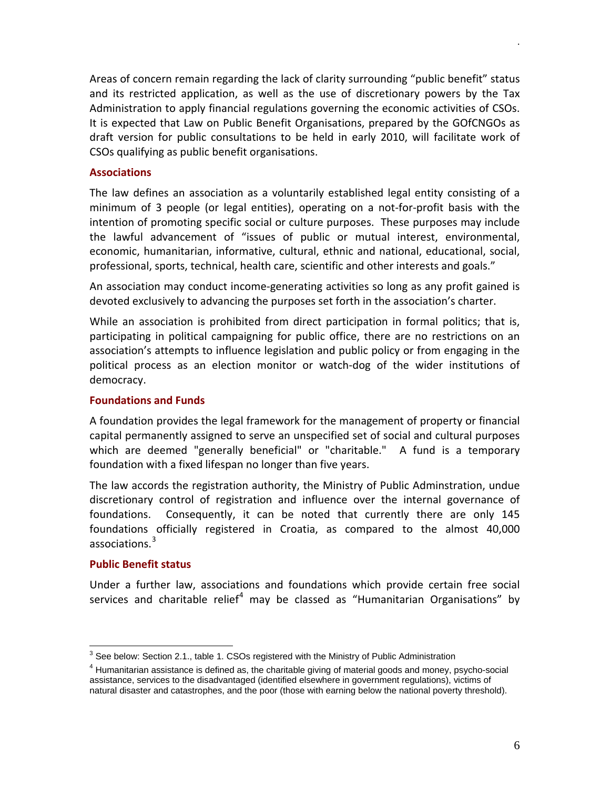Areas of concern remain regarding the lack of clarity surrounding "public benefit" status and its restricted application, as well as the use of discretionary powers by the Tax Administration to apply financial regulations governing the economic activities of CSOs. It is expected that Law on Public Benefit Organisations, prepared by the GOfCNGOs as draft version for public consultations to be held in early 2010, will facilitate work of CSOs qualifying as public benefit organisations.

#### <span id="page-5-0"></span>**Associations**

The law defines an association as a voluntarily established legal entity consisting of a minimum of 3 people (or legal entities), operating on a not-for-profit basis with the intention of promoting specific social or culture purposes. These purposes may include the lawful advancement of "issues of public or mutual interest, environmental, economic, humanitarian, informative, cultural, ethnic and national, educational, social, professional, sports, technical, health care, scientific and other interests and goals."

An association may conduct income-generating activities so long as any profit gained is devoted exclusively to advancing the purposes set forth in the association's charter.

While an association is prohibited from direct participation in formal politics; that is, participating in political campaigning for public office, there are no restrictions on an association's attempts to influence legislation and public policy or from engaging in the political process as an election monitor or watch-dog of the wider institutions of democracy.

#### <span id="page-5-1"></span>**Foundations and Funds**

A foundation provides the legal framework for the management of property or financial capital permanently assigned to serve an unspecified set of social and cultural purposes which are deemed "generally beneficial" or "charitable." A fund is a temporary foundation with a fixed lifespan no longer than five years.

The law accords the registration authority, the Ministry of Public Adminstration, undue discretionary control of registration and influence over the internal governance of foundations. Consequently, it can be noted that currently there are only 145 foundations officially registered in Croatia, as compared to the almost 40,000 associations. [3](#page-5-3)

#### <span id="page-5-2"></span>**Public Benefit status**

Under a further law, associations and foundations which provide certain free social services and charitable relief<sup>[4](#page-5-4)</sup> may be classed as "Humanitarian Organisations" by

<span id="page-5-3"></span> $3$  See below: Section 2.1., table 1. CSOs registered with the Ministry of Public Administration

<span id="page-5-4"></span><sup>4</sup> Humanitarian assistance is defined as, the charitable giving of material goods and money, psycho-social assistance, services to the disadvantaged (identified elsewhere in government regulations), victims of natural disaster and catastrophes, and the poor (those with earning below the national poverty threshold).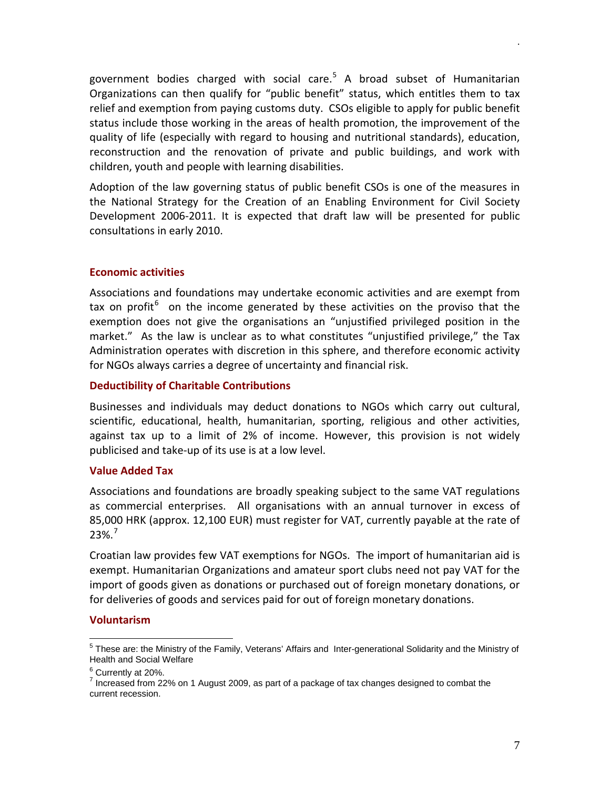government bodies charged with social care.<sup>[5](#page-6-4)</sup> A broad subset of Humanitarian Organizations can then qualify for "public benefit" status, which entitles them to tax relief and exemption from paying customs duty. CSOs eligible to apply for public benefit status include those working in the areas of health promotion, the improvement of the quality of life (especially with regard to housing and nutritional standards), education, reconstruction and the renovation of private and public buildings, and work with children, youth and people with learning disabilities.

Adoption of the law governing status of public benefit CSOs is one of the measures in the National Strategy for the Creation of an Enabling Environment for Civil Society Development 2006-2011. It is expected that draft law will be presented for public consultations in early 2010.

#### <span id="page-6-0"></span>**Economic activities**

Associations and foundations may undertake economic activities and are exempt from tax on profit<sup>[6](#page-6-5)</sup> on the income generated by these activities on the proviso that the exemption does not give the organisations an "unjustified privileged position in the market." As the law is unclear as to what constitutes "unjustified privilege," the Tax Administration operates with discretion in this sphere, and therefore economic activity for NGOs always carries a degree of uncertainty and financial risk.

#### <span id="page-6-1"></span>**Deductibility of Charitable Contributions**

Businesses and individuals may deduct donations to NGOs which carry out cultural, scientific, educational, health, humanitarian, sporting, religious and other activities, against tax up to a limit of 2% of income. However, this provision is not widely publicised and take-up of its use is at a low level.

#### <span id="page-6-2"></span>**Value Added Tax**

Associations and foundations are broadly speaking subject to the same VAT regulations as commercial enterprises. All organisations with an annual turnover in excess of 85,000 HRK (approx. 12,100 EUR) must register for VAT, currently payable at the rate of  $23\%$ .<sup>[7](#page-6-6)</sup>

Croatian law provides few VAT exemptions for NGOs. The import of humanitarian aid is exempt. Humanitarian Organizations and amateur sport clubs need not pay VAT for the import of goods given as donations or purchased out of foreign monetary donations, or for deliveries of goods and services paid for out of foreign monetary donations.

#### <span id="page-6-3"></span>**Voluntarism**

<span id="page-6-4"></span><sup>5</sup> These are: the Ministry of the Family, Veterans' Affairs and Inter-generational Solidarity and the Ministry of Health and Social Welfare

<span id="page-6-6"></span><span id="page-6-5"></span> $^6$  Currently at 20%.<br><sup>7</sup> Increased from 22% on 1 August 2009, as part of a package of tax changes designed to combat the current recession.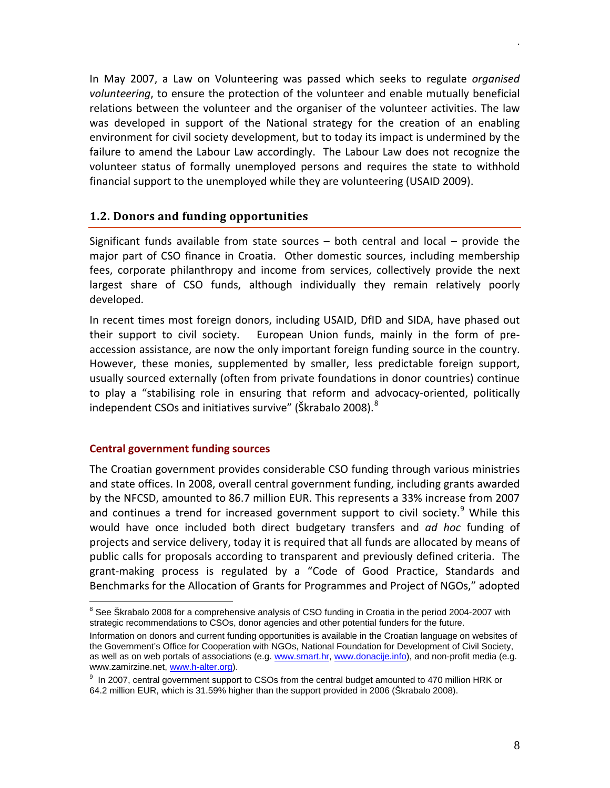In May 2007, a Law on Volunteering was passed which seeks to regulate *organised volunteering*, to ensure the protection of the volunteer and enable mutually beneficial relations between the volunteer and the organiser of the volunteer activities. The law was developed in support of the National strategy for the creation of an enabling environment for civil society development, but to today its impact is undermined by the failure to amend the Labour Law accordingly. The Labour Law does not recognize the volunteer status of formally unemployed persons and requires the state to withhold financial support to the unemployed while they are volunteering (USAID 2009).

#### <span id="page-7-0"></span>**1.2. Donors and funding opportunities**

Significant funds available from state sources – both central and local – provide the major part of CSO finance in Croatia. Other domestic sources, including membership fees, corporate philanthropy and income from services, collectively provide the next largest share of CSO funds, although individually they remain relatively poorly developed.

In recent times most foreign donors, including USAID, DfID and SIDA, have phased out their support to civil society. European Union funds, mainly in the form of preaccession assistance, are now the only important foreign funding source in the country. However, these monies, supplemented by smaller, less predictable foreign support, usually sourced externally (often from private foundations in donor countries) continue to play a "stabilising role in ensuring that reform and advocacy-oriented, politically independent CSOs and initiatives survive" (Škrabalo 200[8](#page-7-2)). $^8$ 

#### <span id="page-7-1"></span>**Central government funding sources**

The Croatian government provides considerable CSO funding through various ministries and state offices. In 2008, overall central government funding, including grants awarded by the NFCSD, amounted to 86.7 million EUR. This represents a 33% increase from 2007 and continues a trend for increased government support to civil society.<sup>[9](#page-7-3)</sup> While this would have once included both direct budgetary transfers and *ad hoc* funding of projects and service delivery, today it is required that all funds are allocated by means of public calls for proposals according to transparent and previously defined criteria. The grant-making process is regulated by a "Code of Good Practice, Standards and Benchmarks for the Allocation of Grants for Programmes and Project of NGOs," adopted

<span id="page-7-2"></span> $8$  See Škrabalo 2008 for a comprehensive analysis of CSO funding in Croatia in the period 2004-2007 with strategic recommendations to CSOs, donor agencies and other potential funders for the future.

Information on donors and current funding opportunities is available in the Croatian language on websites of the Government's Office for Cooperation with NGOs, National Foundation for Development of Civil Society, as well as on web portals of associations (e.g[. www.smart.hr,](http://www.smart.hr/) [www.donacije.info\)](http://www.donacije.info/), and non-profit media (e.g. www.zamirzine.net, [www.h-alter.org\)](http://www.h-alter.org/).

<span id="page-7-3"></span><sup>&</sup>lt;sup>9</sup> In 2007, central government support to CSOs from the central budget amounted to 470 million HRK or 64.2 million EUR, which is 31.59% higher than the support provided in 2006 (Škrabalo 2008).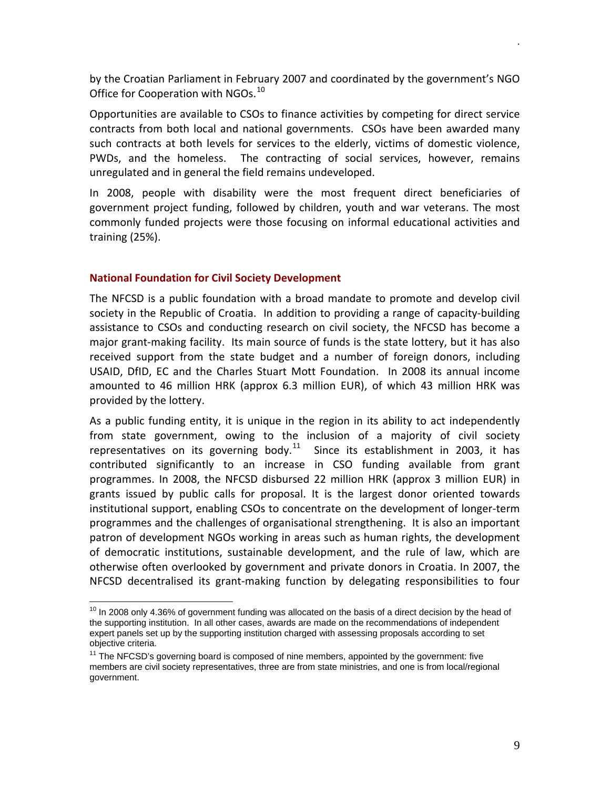by the Croatian Parliament in February 2007 and coordinated by the government's NGO Office for Cooperation with NGOs.<sup>[10](#page-8-1)</sup>

Opportunities are available to CSOs to finance activities by competing for direct service contracts from both local and national governments. CSOs have been awarded many such contracts at both levels for services to the elderly, victims of domestic violence, PWDs, and the homeless. The contracting of social services, however, remains unregulated and in general the field remains undeveloped.

In 2008, people with disability were the most frequent direct beneficiaries of government project funding, followed by children, youth and war veterans. The most commonly funded projects were those focusing on informal educational activities and training (25%).

#### <span id="page-8-0"></span>**National Foundation for Civil Society Development**

The NFCSD is a public foundation with a broad mandate to promote and develop civil society in the Republic of Croatia. In addition to providing a range of capacity-building assistance to CSOs and conducting research on civil society, the NFCSD has become a major grant-making facility. Its main source of funds is the state lottery, but it has also received support from the state budget and a number of foreign donors, including USAID, DfID, EC and the Charles Stuart Mott Foundation. In 2008 its annual income amounted to 46 million HRK (approx 6.3 million EUR), of which 43 million HRK was provided by the lottery.

As a public funding entity, it is unique in the region in its ability to act independently from state government, owing to the inclusion of a majority of civil society representatives on its governing body. $11$  Since its establishment in 2003, it has contributed significantly to an increase in CSO funding available from grant programmes. In 2008, the NFCSD disbursed 22 million HRK (approx 3 million EUR) in grants issued by public calls for proposal. It is the largest donor oriented towards institutional support, enabling CSOs to concentrate on the development of longer-term programmes and the challenges of organisational strengthening. It is also an important patron of development NGOs working in areas such as human rights, the development of democratic institutions, sustainable development, and the rule of law, which are otherwise often overlooked by government and private donors in Croatia. In 2007, the NFCSD decentralised its grant-making function by delegating responsibilities to four

<span id="page-8-1"></span> $10$  In 2008 only 4.36% of government funding was allocated on the basis of a direct decision by the head of the supporting institution. In all other cases, awards are made on the recommendations of independent expert panels set up by the supporting institution charged with assessing proposals according to set objective criteria.

<span id="page-8-2"></span> $11$  The NFCSD's governing board is composed of nine members, appointed by the government: five members are civil society representatives, three are from state ministries, and one is from local/regional government.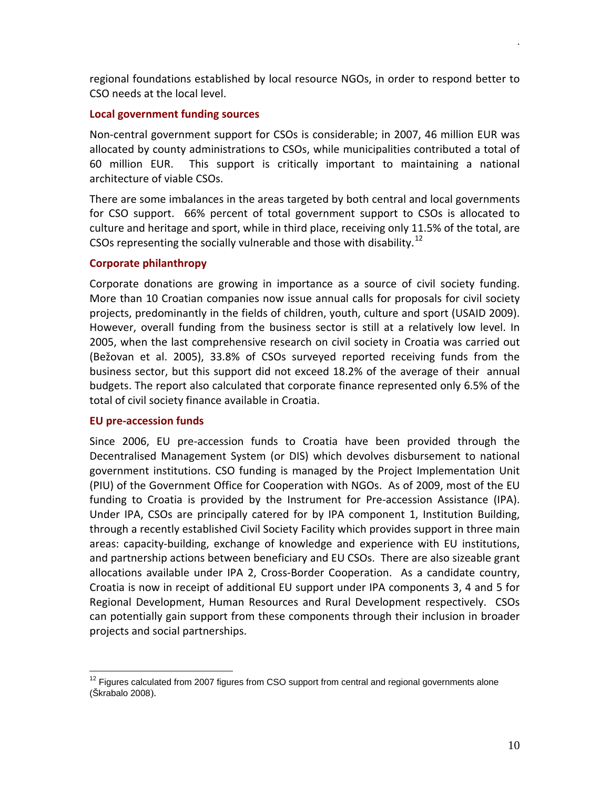regional foundations established by local resource NGOs, in order to respond better to CSO needs at the local level.

#### <span id="page-9-0"></span>**Local government funding sources**

Non-central government support for CSOs is considerable; in 2007, 46 million EUR was allocated by county administrations to CSOs, while municipalities contributed a total of 60 million EUR. This support is critically important to maintaining a national architecture of viable CSOs.

There are some imbalances in the areas targeted by both central and local governments for CSO support. 66% percent of total government support to CSOs is allocated to culture and heritage and sport, while in third place, receiving only 11.5% of the total, are CSOs representing the socially vulnerable and those with disability.<sup>[12](#page-9-3)</sup>

## <span id="page-9-1"></span>**Corporate philanthropy**

Corporate donations are growing in importance as a source of civil society funding. More than 10 Croatian companies now issue annual calls for proposals for civil society projects, predominantly in the fields of children, youth, culture and sport (USAID 2009). However, overall funding from the business sector is still at a relatively low level. In 2005, when the last comprehensive research on civil society in Croatia was carried out (Bežovan et al. 2005), 33.8% of CSOs surveyed reported receiving funds from the business sector, but this support did not exceed 18.2% of the average of their annual budgets. The report also calculated that corporate finance represented only 6.5% of the total of civil society finance available in Croatia.

#### <span id="page-9-2"></span>**EU pre-accession funds**

Since 2006, EU pre-accession funds to Croatia have been provided through the Decentralised Management System (or DIS) which devolves disbursement to national government institutions. CSO funding is managed by the Project Implementation Unit (PIU) of the Government Office for Cooperation with NGOs. As of 2009, most of the EU funding to Croatia is provided by the Instrument for Pre-accession Assistance (IPA). Under IPA, CSOs are principally catered for by IPA component 1, Institution Building, through a recently established Civil Society Facility which provides support in three main areas: capacity-building, exchange of knowledge and experience with EU institutions, and partnership actions between beneficiary and EU CSOs. There are also sizeable grant allocations available under IPA 2, Cross-Border Cooperation. As a candidate country, Croatia is now in receipt of additional EU support under IPA components 3, 4 and 5 for Regional Development, Human Resources and Rural Development respectively. CSOs can potentially gain support from these components through their inclusion in broader projects and social partnerships.

<span id="page-9-3"></span> $12$  Figures calculated from 2007 figures from CSO support from central and regional governments alone (Škrabalo 2008).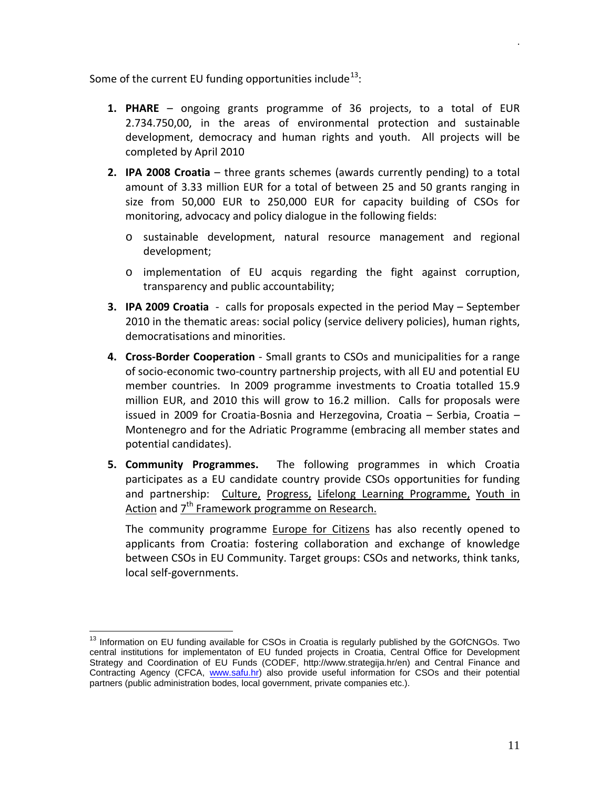Some of the current EU funding opportunities include $^{13}$  $^{13}$  $^{13}$ :

- **1. PHARE** ongoing grants programme of 36 projects, to a total of EUR 2.734.750,00, in the areas of environmental protection and sustainable development, democracy and human rights and youth. All projects will be completed by April 2010
- **2. IPA 2008 Croatia**  three grants schemes (awards currently pending) to a total amount of 3.33 million EUR for a total of between 25 and 50 grants ranging in size from 50,000 EUR to 250,000 EUR for capacity building of CSOs for monitoring, advocacy and policy dialogue in the following fields:
	- o sustainable development, natural resource management and regional development;
	- o implementation of EU acquis regarding the fight against corruption, transparency and public accountability;
- **3. IPA 2009 Croatia**  calls for proposals expected in the period May September 2010 in the thematic areas: social policy (service delivery policies), human rights, democratisations and minorities.
- **4. Cross-Border Cooperation** Small grants to CSOs and municipalities for a range of socio-economic two-country partnership projects, with all EU and potential EU member countries. In 2009 programme investments to Croatia totalled 15.9 million EUR, and 2010 this will grow to 16.2 million. Calls for proposals were issued in 2009 for Croatia-Bosnia and Herzegovina, Croatia – Serbia, Croatia – Montenegro and for the Adriatic Programme (embracing all member states and potential candidates).
- **5. Community Programmes.** The following programmes in which Croatia participates as a EU candidate country provide CSOs opportunities for funding and partnership: Culture, Progress, Lifelong Learning Programme, Youth in Action and 7<sup>th</sup> Framework programme on Research.

The community programme **Europe for Citizens** has also recently opened to applicants from Croatia: fostering collaboration and exchange of knowledge between CSOs in EU Community. Target groups: CSOs and networks, think tanks, local self-governments.

<span id="page-10-0"></span><sup>&</sup>lt;sup>13</sup> Information on EU funding available for CSOs in Croatia is regularly published by the GOfCNGOs. Two central institutions for implementaton of EU funded projects in Croatia, Central Office for Development Strategy and Coordination of EU Funds (CODEF, http://www.strategija.hr/en) and Central Finance and Contracting Agency (CFCA, [www.safu.hr\)](http://www.safu.hr/) also provide useful information for CSOs and their potential partners (public administration bodes, local government, private companies etc.).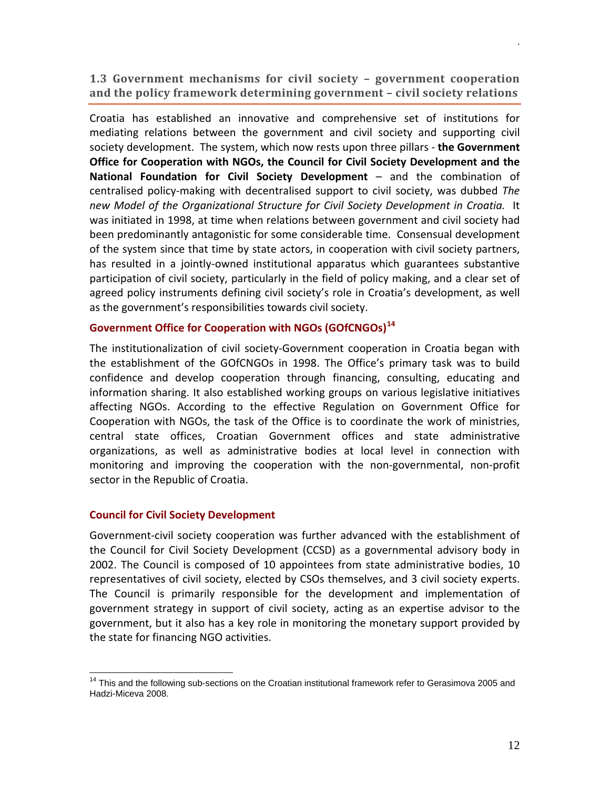<span id="page-11-0"></span>**1.3 Government mechanisms for civil society – government cooperation and the policy framework determining government – civil society relations** 

Croatia has established an innovative and comprehensive set of institutions for mediating relations between the government and civil society and supporting civil society development. The system, which now rests upon three pillars - **the Government Office for Cooperation with NGOs, the Council for Civil Society Development and the National Foundation for Civil Society Development** – and the combination of centralised policy-making with decentralised support to civil society, was dubbed *The new Model of the Organizational Structure for Civil Society Development in Croatia.* It was initiated in 1998, at time when relations between government and civil society had been predominantly antagonistic for some considerable time. Consensual development of the system since that time by state actors, in cooperation with civil society partners, has resulted in a jointly-owned institutional apparatus which guarantees substantive participation of civil society, particularly in the field of policy making, and a clear set of agreed policy instruments defining civil society's role in Croatia's development, as well as the government's responsibilities towards civil society.

## <span id="page-11-1"></span>**Government Office for Cooperation with NGOs (GOfCNGOs)[14](#page-11-3)**

The institutionalization of civil society-Government cooperation in Croatia began with the establishment of the GOfCNGOs in 1998. The Office's primary task was to build confidence and develop cooperation through financing, consulting, educating and information sharing. It also established working groups on various legislative initiatives affecting NGOs. According to the effective Regulation on Government Office for Cooperation with NGOs, the task of the Office is to coordinate the work of ministries, central state offices, Croatian Government offices and state administrative organizations, as well as administrative bodies at local level in connection with monitoring and improving the cooperation with the non-governmental, non-profit sector in the Republic of Croatia.

#### <span id="page-11-2"></span>**Council for Civil Society Development**

Government-civil society cooperation was further advanced with the establishment of the Council for Civil Society Development (CCSD) as a governmental advisory body in 2002. The Council is composed of 10 appointees from state administrative bodies, 10 representatives of civil society, elected by CSOs themselves, and 3 civil society experts. The Council is primarily responsible for the development and implementation of government strategy in support of civil society, acting as an expertise advisor to the government, but it also has a key role in monitoring the monetary support provided by the state for financing NGO activities.

<span id="page-11-3"></span><sup>&</sup>lt;sup>14</sup> This and the following sub-sections on the Croatian institutional framework refer to Gerasimova 2005 and Hadzi-Miceva 2008.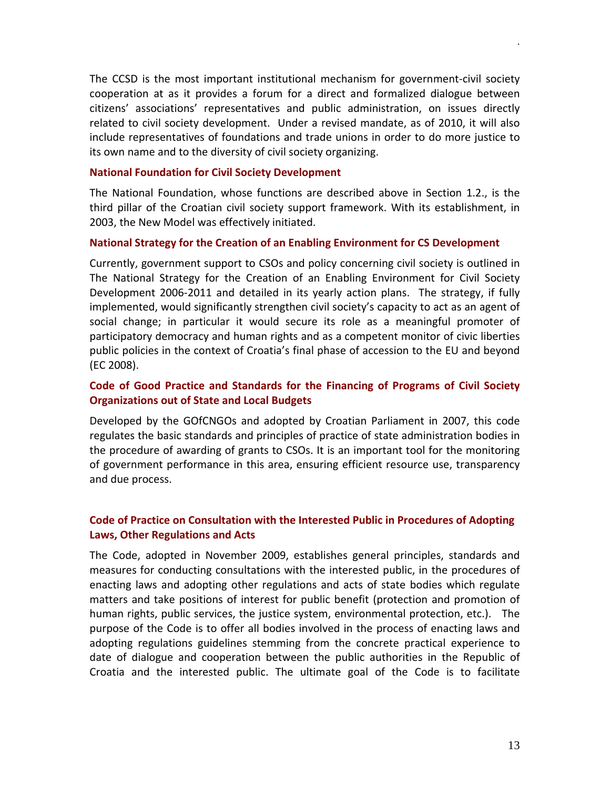The CCSD is the most important institutional mechanism for government-civil society cooperation at as it provides a forum for a direct and formalized dialogue between citizens' associations' representatives and public administration, on issues directly related to civil society development. Under a revised mandate, as of 2010, it will also include representatives of foundations and trade unions in order to do more justice to its own name and to the diversity of civil society organizing.

#### <span id="page-12-0"></span>**National Foundation for Civil Society Development**

The National Foundation, whose functions are described above in Section 1.2., is the third pillar of the Croatian civil society support framework. With its establishment, in 2003, the New Model was effectively initiated.

#### <span id="page-12-1"></span>**National Strategy for the Creation of an Enabling Environment for CS Development**

Currently, government support to CSOs and policy concerning civil society is outlined in The National Strategy for the Creation of an Enabling Environment for Civil Society Development 2006-2011 and detailed in its yearly action plans. The strategy, if fully implemented, would significantly strengthen civil society's capacity to act as an agent of social change; in particular it would secure its role as a meaningful promoter of participatory democracy and human rights and as a competent monitor of civic liberties public policies in the context of Croatia's final phase of accession to the EU and beyond (EC 2008).

## <span id="page-12-2"></span>**Code of Good Practice and Standards for the Financing of Programs of Civil Society Organizations out of State and Local Budgets**

Developed by the GOfCNGOs and adopted by Croatian Parliament in 2007, this code regulates the basic standards and principles of practice of state administration bodies in the procedure of awarding of grants to CSOs. It is an important tool for the monitoring of government performance in this area, ensuring efficient resource use, transparency and due process.

## **Code of Practice on Consultation with the Interested Public in Procedures of Adopting Laws, Other Regulations and Acts**

The Code, adopted in November 2009, establishes general principles, standards and measures for conducting consultations with the interested public, in the procedures of enacting laws and adopting other regulations and acts of state bodies which regulate matters and take positions of interest for public benefit (protection and promotion of human rights, public services, the justice system, environmental protection, etc.). The purpose of the Code is to offer all bodies involved in the process of enacting laws and adopting regulations guidelines stemming from the concrete practical experience to date of dialogue and cooperation between the public authorities in the Republic of Croatia and the interested public. The ultimate goal of the Code is to facilitate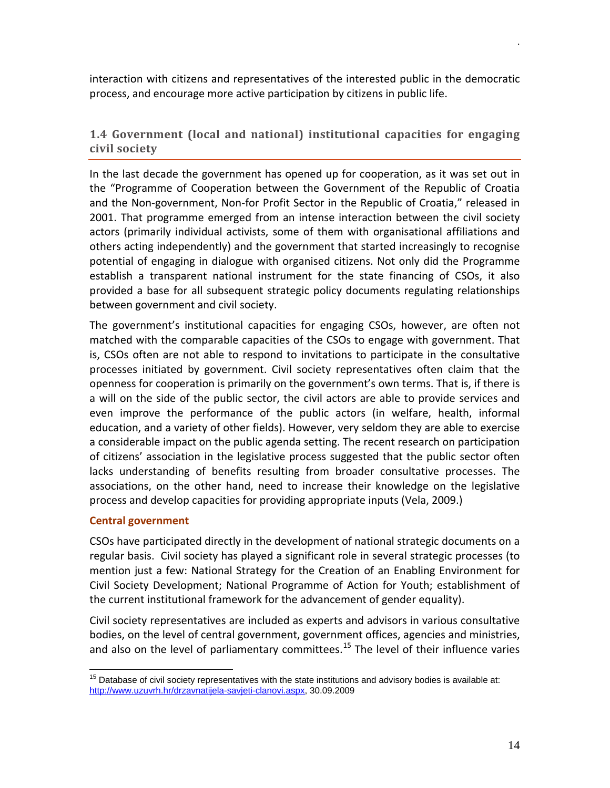interaction with citizens and representatives of the interested public in the democratic process, and encourage more active participation by citizens in public life.

## <span id="page-13-0"></span>**1.4 Government (local and national) institutional capacities for engaging civil society**

In the last decade the government has opened up for cooperation, as it was set out in the "Programme of Cooperation between the Government of the Republic of Croatia and the Non-government, Non-for Profit Sector in the Republic of Croatia," released in 2001. That programme emerged from an intense interaction between the civil society actors (primarily individual activists, some of them with organisational affiliations and others acting independently) and the government that started increasingly to recognise potential of engaging in dialogue with organised citizens. Not only did the Programme establish a transparent national instrument for the state financing of CSOs, it also provided a base for all subsequent strategic policy documents regulating relationships between government and civil society.

The government's institutional capacities for engaging CSOs, however, are often not matched with the comparable capacities of the CSOs to engage with government. That is, CSOs often are not able to respond to invitations to participate in the consultative processes initiated by government. Civil society representatives often claim that the openness for cooperation is primarily on the government's own terms. That is, if there is a will on the side of the public sector, the civil actors are able to provide services and even improve the performance of the public actors (in welfare, health, informal education, and a variety of other fields). However, very seldom they are able to exercise a considerable impact on the public agenda setting. The recent research on participation of citizens' association in the legislative process suggested that the public sector often lacks understanding of benefits resulting from broader consultative processes. The associations, on the other hand, need to increase their knowledge on the legislative process and develop capacities for providing appropriate inputs (Vela, 2009.)

#### <span id="page-13-1"></span>**Central government**

CSOs have participated directly in the development of national strategic documents on a regular basis. Civil society has played a significant role in several strategic processes (to mention just a few: National Strategy for the Creation of an Enabling Environment for Civil Society Development; National Programme of Action for Youth; establishment of the current institutional framework for the advancement of gender equality).

Civil society representatives are included as experts and advisors in various consultative bodies, on the level of central government, government offices, agencies and ministries, and also on the level of parliamentary committees.<sup>[15](#page-13-2)</sup> The level of their influence varies

<span id="page-13-2"></span> $15$  Database of civil society representatives with the state institutions and advisory bodies is available at: [http://www.uzuvrh.hr/drzavnatijela-savjeti-clanovi.aspx,](http://www.uzuvrh.hr/drzavnatijela-savjeti-clanovi.aspx) 30.09.2009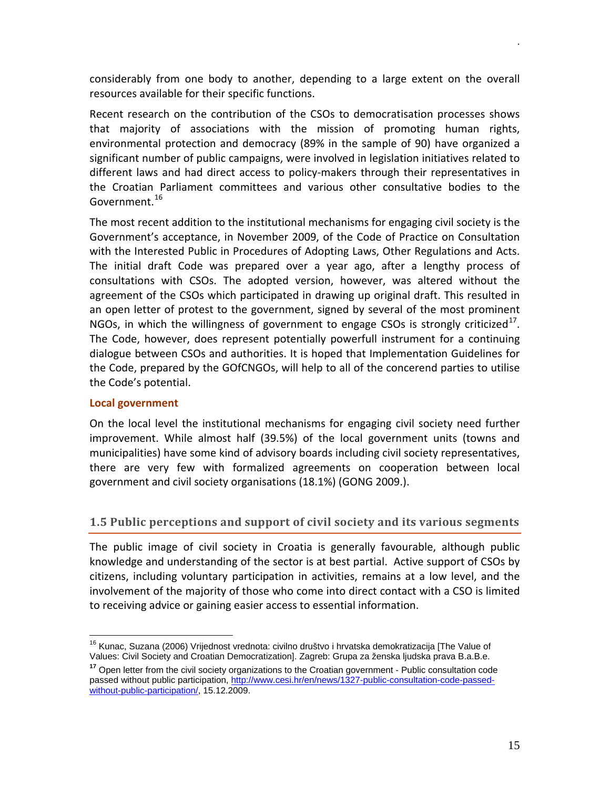considerably from one body to another, depending to a large extent on the overall resources available for their specific functions.

Recent research on the contribution of the CSOs to democratisation processes shows that majority of associations with the mission of promoting human rights, environmental protection and democracy (89% in the sample of 90) have organized a significant number of public campaigns, were involved in legislation initiatives related to different laws and had direct access to policy-makers through their representatives in the Croatian Parliament committees and various other consultative bodies to the Government.<sup>[16](#page-14-2)</sup>

The most recent addition to the institutional mechanisms for engaging civil society is the Government's acceptance, in November 2009, of the Code of Practice on Consultation with the Interested Public in Procedures of Adopting Laws, Other Regulations and Acts. The initial draft Code was prepared over a year ago, after a lengthy process of consultations with CSOs. The adopted version, however, was altered without the agreement of the CSOs which participated in drawing up original draft. This resulted in an open letter of protest to the government, signed by several of the most prominent NGOs, in which the willingness of government to engage CSOs is strongly criticized<sup>[17](#page-14-3)</sup>. The Code, however, does represent potentially powerfull instrument for a continuing dialogue between CSOs and authorities. It is hoped that Implementation Guidelines for the Code, prepared by the GOfCNGOs, will help to all of the concerend parties to utilise the Code's potential.

#### <span id="page-14-0"></span>**Local government**

On the local level the institutional mechanisms for engaging civil society need further improvement. While almost half (39.5%) of the local government units (towns and municipalities) have some kind of advisory boards including civil society representatives, there are very few with formalized agreements on cooperation between local government and civil society organisations (18.1%) (GONG 2009.).

## <span id="page-14-1"></span>**1.5 Public perceptions and support of civil society and its various segments**

The public image of civil society in Croatia is generally favourable, although public knowledge and understanding of the sector is at best partial. Active support of CSOs by citizens, including voluntary participation in activities, remains at a low level, and the involvement of the majority of those who come into direct contact with a CSO is limited to receiving advice or gaining easier access to essential information.

<span id="page-14-2"></span><sup>&</sup>lt;sup>16</sup> Kunac. Suzana (2006) Vrijednost vrednota: civilno društvo i hrvatska demokratizacija [The Value of Values: Civil Society and Croatian Democratization]. Zagreb: Grupa za ženska ljudska prava B.a.B.e.

<span id="page-14-3"></span>**<sup>17</sup>** Open letter from the civil society organizations to the Croatian government - Public consultation code passed without public participation, [http://www.cesi.hr/en/news/1327-public-consultation-code-passed](http://www.cesi.hr/en/news/1327-public-consultation-code-passed-without-public-participation/)[without-public-participation/,](http://www.cesi.hr/en/news/1327-public-consultation-code-passed-without-public-participation/) 15.12.2009.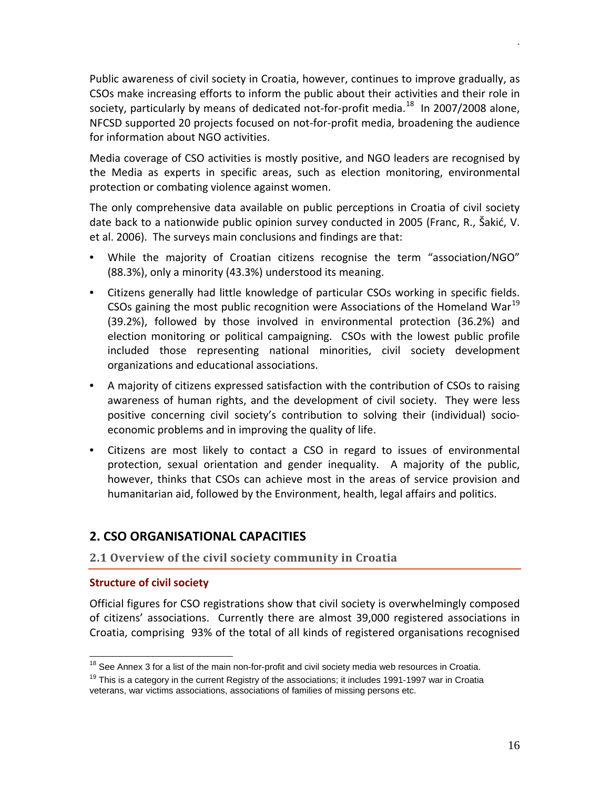Public awareness of civil society in Croatia, however, continues to improve gradually, as CSOs make increasing efforts to inform the public about their activities and their role in society, particularly by means of dedicated not-for-profit media. $^{18}$  $^{18}$  $^{18}$  In 2007/2008 alone, NFCSD supported 20 projects focused on not-for-profit media, broadening the audience for information about NGO activities.

Media coverage of CSO activities is mostly positive, and NGO leaders are recognised by the Media as experts in specific areas, such as election monitoring, environmental protection or combating violence against women.

The only comprehensive data available on public perceptions in Croatia of civil society date back to a nationwide public opinion survey conducted in 2005 (Franc, R., Šakić, V. et al. 2006). The surveys main conclusions and findings are that:

- While the majority of Croatian citizens recognise the term "association/NGO" (88.3%), only a minority (43.3%) understood its meaning.
- Citizens generally had little knowledge of particular CSOs working in specific fields. CSOs gaining the most public recognition were Associations of the Homeland War<sup>[19](#page-15-4)</sup> (39.2%), followed by those involved in environmental protection (36.2%) and election monitoring or political campaigning. CSOs with the lowest public profile included those representing national minorities, civil society development organizations and educational associations.
- A majority of citizens expressed satisfaction with the contribution of CSOs to raising awareness of human rights, and the development of civil society. They were less positive concerning civil society's contribution to solving their (individual) socioeconomic problems and in improving the quality of life.
- Citizens are most likely to contact a CSO in regard to issues of environmental protection, sexual orientation and gender inequality. A majority of the public, however, thinks that CSOs can achieve most in the areas of service provision and humanitarian aid, followed by the Environment, health, legal affairs and politics.

## <span id="page-15-0"></span>**2. CSO ORGANISATIONAL CAPACITIES**

## <span id="page-15-1"></span>**2.1 Overview of the civil society community in Croatia**

#### <span id="page-15-2"></span>**Structure of civil society**

Official figures for CSO registrations show that civil society is overwhelmingly composed of citizens' associations. Currently there are almost 39,000 registered associations in Croatia, comprising 93% of the total of all kinds of registered organisations recognised

<span id="page-15-3"></span> $18$  See Annex 3 for a list of the main non-for-profit and civil society media web resources in Croatia.

<span id="page-15-4"></span> $19$  This is a category in the current Registry of the associations; it includes 1991-1997 war in Croatia veterans, war victims associations, associations of families of missing persons etc.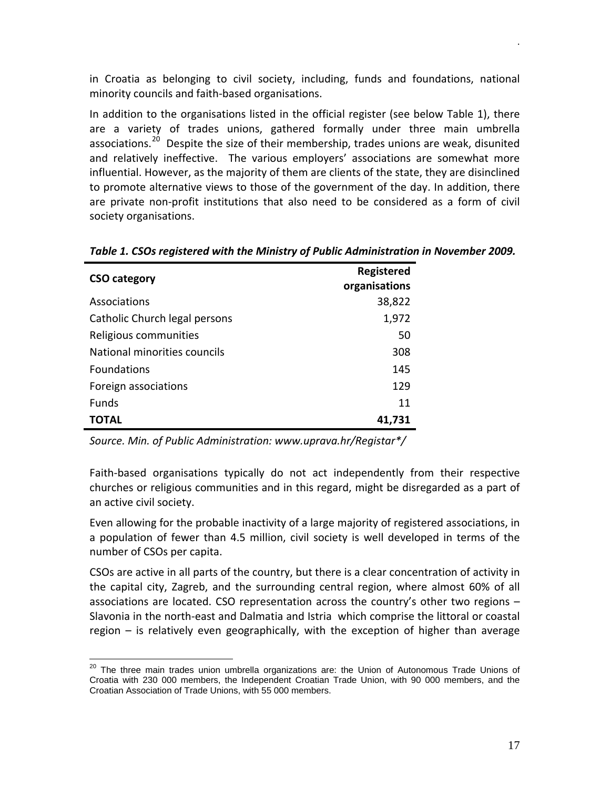in Croatia as belonging to civil society, including, funds and foundations, national minority councils and faith-based organisations.

In addition to the organisations listed in the official register (see below Table 1), there are a variety of trades unions, gathered formally under three main umbrella associations.<sup>[20](#page-16-0)</sup> Despite the size of their membership, trades unions are weak, disunited and relatively ineffective. The various employers' associations are somewhat more influential. However, as the majority of them are clients of the state, they are disinclined to promote alternative views to those of the government of the day. In addition, there are private non-profit institutions that also need to be considered as a form of civil society organisations.

| <b>CSO category</b>           | <b>Registered</b><br>organisations |
|-------------------------------|------------------------------------|
| Associations                  | 38,822                             |
| Catholic Church legal persons | 1,972                              |
| Religious communities         | 50                                 |
| National minorities councils  | 308                                |
| <b>Foundations</b>            | 145                                |
| Foreign associations          | 129                                |
| <b>Funds</b>                  | 11                                 |
| ΤΟΤΑL                         | 41,731                             |

*Table 1. CSOs registered with the Ministry of Public Administration in November 2009.*

*Source. Min. of Public Administration: www.uprava.hr/Registar\*/*

Faith-based organisations typically do not act independently from their respective churches or religious communities and in this regard, might be disregarded as a part of an active civil society.

Even allowing for the probable inactivity of a large majority of registered associations, in a population of fewer than 4.5 million, civil society is well developed in terms of the number of CSOs per capita.

CSOs are active in all parts of the country, but there is a clear concentration of activity in the capital city, Zagreb, and the surrounding central region, where almost 60% of all associations are located. CSO representation across the country's other two regions – Slavonia in the north-east and Dalmatia and Istria which comprise the littoral or coastal region – is relatively even geographically, with the exception of higher than average

<span id="page-16-0"></span><sup>&</sup>lt;sup>20</sup> The three main trades union umbrella organizations are: the Union of Autonomous Trade Unions of Croatia with 230 000 members, the Independent Croatian Trade Union, with 90 000 members, and the Croatian Association of Trade Unions, with 55 000 members.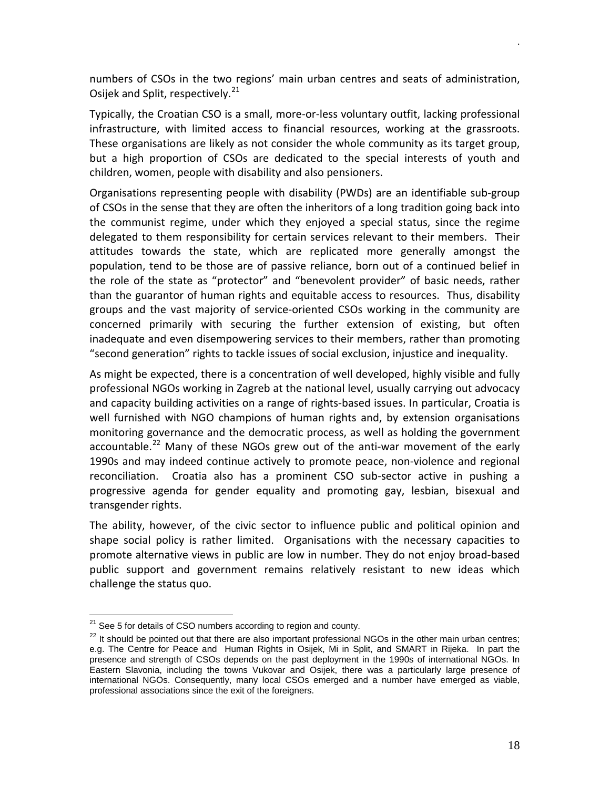numbers of CSOs in the two regions' main urban centres and seats of administration, Osijek and Split, respectively.<sup>[21](#page-17-0)</sup>

Typically, the Croatian CSO is a small, more-or-less voluntary outfit, lacking professional infrastructure, with limited access to financial resources, working at the grassroots. These organisations are likely as not consider the whole community as its target group, but a high proportion of CSOs are dedicated to the special interests of youth and children, women, people with disability and also pensioners.

Organisations representing people with disability (PWDs) are an identifiable sub-group of CSOs in the sense that they are often the inheritors of a long tradition going back into the communist regime, under which they enjoyed a special status, since the regime delegated to them responsibility for certain services relevant to their members. Their attitudes towards the state, which are replicated more generally amongst the population, tend to be those are of passive reliance, born out of a continued belief in the role of the state as "protector" and "benevolent provider" of basic needs, rather than the guarantor of human rights and equitable access to resources. Thus, disability groups and the vast majority of service-oriented CSOs working in the community are concerned primarily with securing the further extension of existing, but often inadequate and even disempowering services to their members, rather than promoting "second generation" rights to tackle issues of social exclusion, injustice and inequality.

As might be expected, there is a concentration of well developed, highly visible and fully professional NGOs working in Zagreb at the national level, usually carrying out advocacy and capacity building activities on a range of rights-based issues. In particular, Croatia is well furnished with NGO champions of human rights and, by extension organisations monitoring governance and the democratic process, as well as holding the government accountable.<sup>[22](#page-17-1)</sup> Many of these NGOs grew out of the anti-war movement of the early 1990s and may indeed continue actively to promote peace, non-violence and regional reconciliation. Croatia also has a prominent CSO sub-sector active in pushing a progressive agenda for gender equality and promoting gay, lesbian, bisexual and transgender rights.

The ability, however, of the civic sector to influence public and political opinion and shape social policy is rather limited. Organisations with the necessary capacities to promote alternative views in public are low in number. They do not enjoy broad-based public support and government remains relatively resistant to new ideas which challenge the status quo.

<span id="page-17-0"></span> $21$  See 5 for details of CSO numbers according to region and county.

<span id="page-17-1"></span> $22$  It should be pointed out that there are also important professional NGOs in the other main urban centres; e.g. The Centre for Peace and Human Rights in Osijek, Mi in Split, and SMART in Rijeka. In part the presence and strength of CSOs depends on the past deployment in the 1990s of international NGOs. In Eastern Slavonia, including the towns Vukovar and Osijek, there was a particularly large presence of international NGOs. Consequently, many local CSOs emerged and a number have emerged as viable, professional associations since the exit of the foreigners.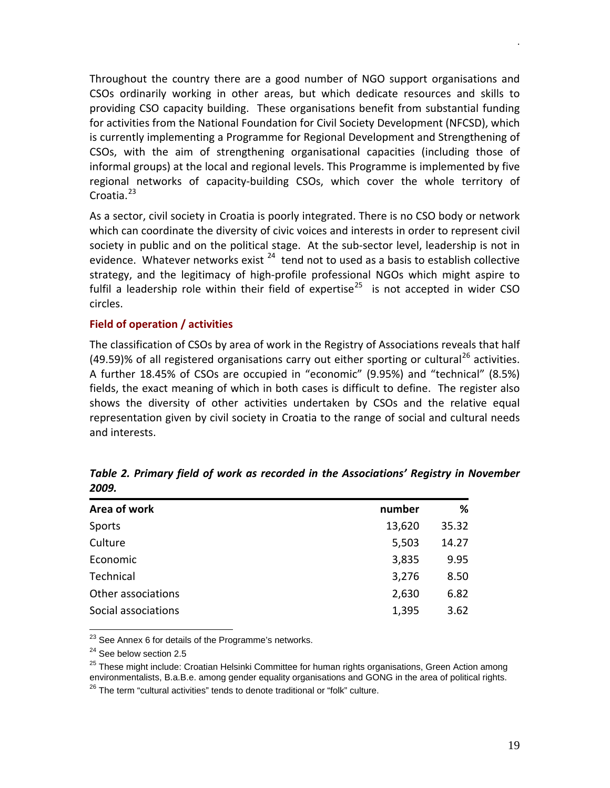Throughout the country there are a good number of NGO support organisations and CSOs ordinarily working in other areas, but which dedicate resources and skills to providing CSO capacity building. These organisations benefit from substantial funding for activities from the National Foundation for Civil Society Development (NFCSD), which is currently implementing a Programme for Regional Development and Strengthening of CSOs, with the aim of strengthening organisational capacities (including those of informal groups) at the local and regional levels. This Programme is implemented by five regional networks of capacity-building CSOs, which cover the whole territory of Croatia.<sup>[23](#page-18-1)</sup>

As a sector, civil society in Croatia is poorly integrated. There is no CSO body or network which can coordinate the diversity of civic voices and interests in order to represent civil society in public and on the political stage. At the sub-sector level, leadership is not in evidence. Whatever networks exist  $24$  tend not to used as a basis to establish collective strategy, and the legitimacy of high-profile professional NGOs which might aspire to fulfil a leadership role within their field of expertise<sup>[25](#page-18-3)</sup> is not accepted in wider CSO circles.

#### <span id="page-18-0"></span>**Field of operation / activities**

The classification of CSOs by area of work in the Registry of Associations reveals that half (49.59)% of all registered organisations carry out either sporting or cultural<sup>[26](#page-18-4)</sup> activities. A further 18.45% of CSOs are occupied in "economic" (9.95%) and "technical" (8.5%) fields, the exact meaning of which in both cases is difficult to define. The register also shows the diversity of other activities undertaken by CSOs and the relative equal representation given by civil society in Croatia to the range of social and cultural needs and interests.

| Area of work        | number | ℅     |
|---------------------|--------|-------|
| Sports              | 13,620 | 35.32 |
| Culture             | 5,503  | 14.27 |
| Economic            | 3,835  | 9.95  |
| Technical           | 3,276  | 8.50  |
| Other associations  | 2,630  | 6.82  |
| Social associations | 1,395  | 3.62  |

*Table 2. Primary field of work as recorded in the Associations' Registry in November 2009.*

 $23$  See Annex 6 for details of the Programme's networks.

<span id="page-18-2"></span><span id="page-18-1"></span><sup>24</sup> See below section 2.5

<span id="page-18-3"></span><sup>25</sup> These might include: Croatian Helsinki Committee for human rights organisations, Green Action among environmentalists, B.a.B.e. among gender equality organisations and GONG in the area of political rights.

<span id="page-18-4"></span> $26$  The term "cultural activities" tends to denote traditional or "folk" culture.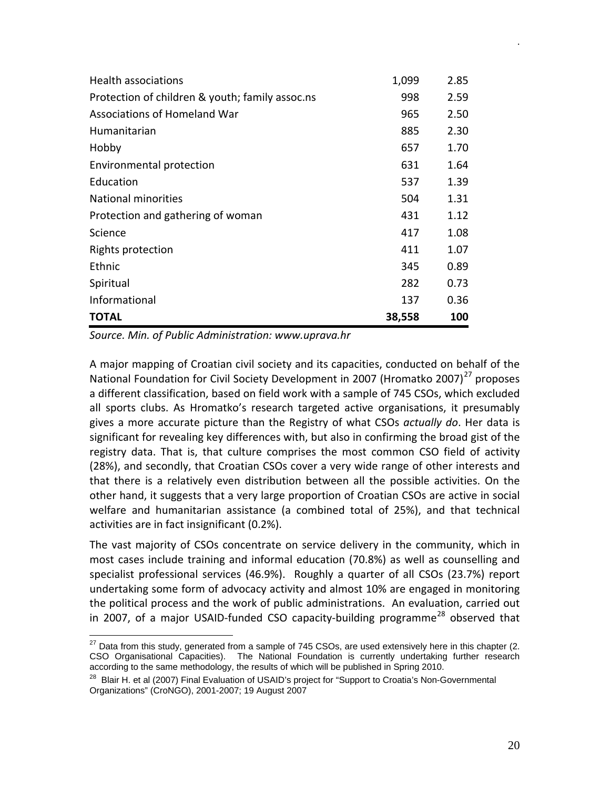| Health associations                             | 1,099  | 2.85 |
|-------------------------------------------------|--------|------|
| Protection of children & youth; family assoc.ns | 998    | 2.59 |
| Associations of Homeland War                    | 965    | 2.50 |
| Humanitarian                                    | 885    | 2.30 |
| Hobby                                           | 657    | 1.70 |
| Environmental protection                        | 631    | 1.64 |
| Education                                       | 537    | 1.39 |
| <b>National minorities</b>                      | 504    | 1.31 |
| Protection and gathering of woman               | 431    | 1.12 |
| Science                                         | 417    | 1.08 |
| Rights protection                               | 411    | 1.07 |
| Ethnic                                          | 345    | 0.89 |
| Spiritual                                       | 282    | 0.73 |
| Informational                                   | 137    | 0.36 |
| <b>TOTAL</b>                                    | 38,558 | 100  |

*Source. Min. of Public Administration: www.uprava.hr*

A major mapping of Croatian civil society and its capacities, conducted on behalf of the National Foundation for Civil Society Development in 2007 (Hromatko 2007)<sup>[27](#page-19-0)</sup> proposes a different classification, based on field work with a sample of 745 CSOs, which excluded all sports clubs. As Hromatko's research targeted active organisations, it presumably gives a more accurate picture than the Registry of what CSOs *actually do*. Her data is significant for revealing key differences with, but also in confirming the broad gist of the registry data. That is, that culture comprises the most common CSO field of activity (28%), and secondly, that Croatian CSOs cover a very wide range of other interests and that there is a relatively even distribution between all the possible activities. On the other hand, it suggests that a very large proportion of Croatian CSOs are active in social welfare and humanitarian assistance (a combined total of 25%), and that technical activities are in fact insignificant (0.2%).

The vast majority of CSOs concentrate on service delivery in the community, which in most cases include training and informal education (70.8%) as well as counselling and specialist professional services (46.9%). Roughly a quarter of all CSOs (23.7%) report undertaking some form of advocacy activity and almost 10% are engaged in monitoring the political process and the work of public administrations. An evaluation, carried out in 2007, of a major USAID-funded CSO capacity-building programme<sup>[28](#page-19-1)</sup> observed that

<span id="page-19-0"></span> $27$  Data from this study, generated from a sample of 745 CSOs, are used extensively here in this chapter (2. CSO Organisational Capacities). The National Foundation is currently undertaking further research according to the same methodology, the results of which will be published in Spring 2010.

<span id="page-19-1"></span><sup>&</sup>lt;sup>28</sup> Blair H. et al (2007) Final Evaluation of USAID's project for "Support to Croatia's Non-Governmental Organizations" (CroNGO), 2001-2007; 19 August 2007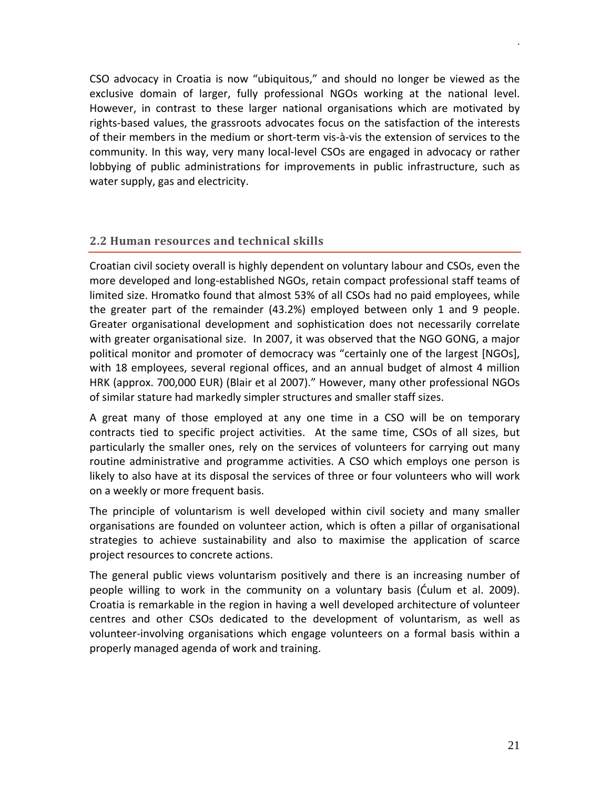CSO advocacy in Croatia is now "ubiquitous," and should no longer be viewed as the exclusive domain of larger, fully professional NGOs working at the national level. However, in contrast to these larger national organisations which are motivated by rights-based values, the grassroots advocates focus on the satisfaction of the interests of their members in the medium or short-term vis-à-vis the extension of services to the community. In this way, very many local-level CSOs are engaged in advocacy or rather lobbying of public administrations for improvements in public infrastructure, such as water supply, gas and electricity.

## <span id="page-20-0"></span>**2.2 Human resources and technical skills**

Croatian civil society overall is highly dependent on voluntary labour and CSOs, even the more developed and long-established NGOs, retain compact professional staff teams of limited size. Hromatko found that almost 53% of all CSOs had no paid employees, while the greater part of the remainder (43.2%) employed between only 1 and 9 people. Greater organisational development and sophistication does not necessarily correlate with greater organisational size. In 2007, it was observed that the NGO GONG, a major political monitor and promoter of democracy was "certainly one of the largest [NGOs], with 18 employees, several regional offices, and an annual budget of almost 4 million HRK (approx. 700,000 EUR) (Blair et al 2007)." However, many other professional NGOs of similar stature had markedly simpler structures and smaller staff sizes.

A great many of those employed at any one time in a CSO will be on temporary contracts tied to specific project activities. At the same time, CSOs of all sizes, but particularly the smaller ones, rely on the services of volunteers for carrying out many routine administrative and programme activities. A CSO which employs one person is likely to also have at its disposal the services of three or four volunteers who will work on a weekly or more frequent basis.

The principle of voluntarism is well developed within civil society and many smaller organisations are founded on volunteer action, which is often a pillar of organisational strategies to achieve sustainability and also to maximise the application of scarce project resources to concrete actions.

The general public views voluntarism positively and there is an increasing number of people willing to work in the community on a voluntary basis (Ćulum et al. 2009). Croatia is remarkable in the region in having a well developed architecture of volunteer centres and other CSOs dedicated to the development of voluntarism, as well as volunteer-involving organisations which engage volunteers on a formal basis within a properly managed agenda of work and training.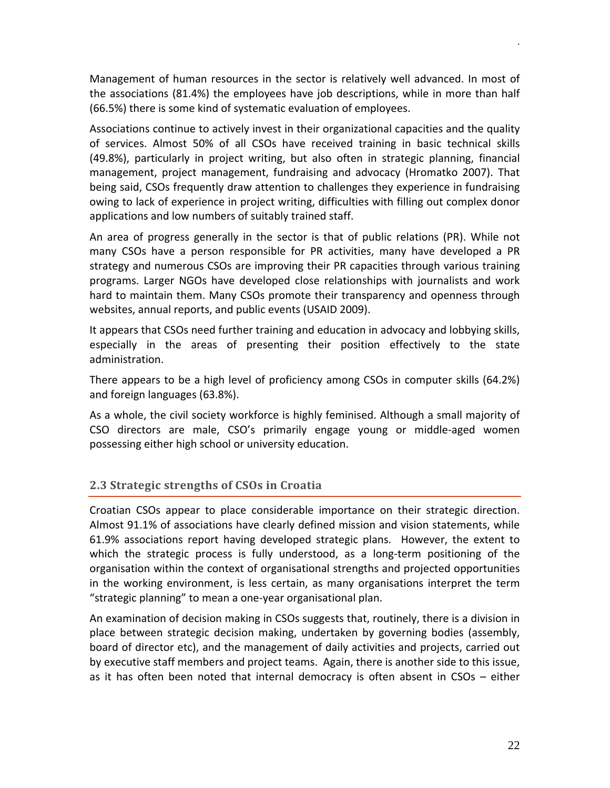Management of human resources in the sector is relatively well advanced. In most of the associations (81.4%) the employees have job descriptions, while in more than half (66.5%) there is some kind of systematic evaluation of employees.

Associations continue to actively invest in their organizational capacities and the quality of services. Almost 50% of all CSOs have received training in basic technical skills (49.8%), particularly in project writing, but also often in strategic planning, financial management, project management, fundraising and advocacy (Hromatko 2007). That being said, CSOs frequently draw attention to challenges they experience in fundraising owing to lack of experience in project writing, difficulties with filling out complex donor applications and low numbers of suitably trained staff.

An area of progress generally in the sector is that of public relations (PR). While not many CSOs have a person responsible for PR activities, many have developed a PR strategy and numerous CSOs are improving their PR capacities through various training programs. Larger NGOs have developed close relationships with journalists and work hard to maintain them. Many CSOs promote their transparency and openness through websites, annual reports, and public events (USAID 2009).

It appears that CSOs need further training and education in advocacy and lobbying skills, especially in the areas of presenting their position effectively to the state administration.

There appears to be a high level of proficiency among CSOs in computer skills (64.2%) and foreign languages (63.8%).

As a whole, the civil society workforce is highly feminised. Although a small majority of CSO directors are male, CSO's primarily engage young or middle-aged women possessing either high school or university education.

## <span id="page-21-0"></span>**2.3 Strategic strengths of CSOs in Croatia**

Croatian CSOs appear to place considerable importance on their strategic direction. Almost 91.1% of associations have clearly defined mission and vision statements, while 61.9% associations report having developed strategic plans. However, the extent to which the strategic process is fully understood, as a long-term positioning of the organisation within the context of organisational strengths and projected opportunities in the working environment, is less certain, as many organisations interpret the term "strategic planning" to mean a one-year organisational plan.

An examination of decision making in CSOs suggests that, routinely, there is a division in place between strategic decision making, undertaken by governing bodies (assembly, board of director etc), and the management of daily activities and projects, carried out by executive staff members and project teams. Again, there is another side to this issue, as it has often been noted that internal democracy is often absent in CSOs – either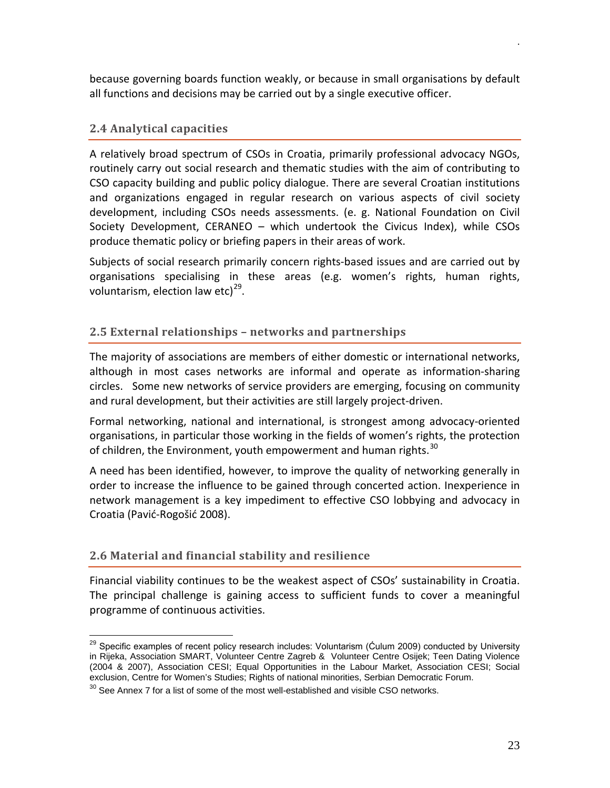because governing boards function weakly, or because in small organisations by default all functions and decisions may be carried out by a single executive officer.

## <span id="page-22-0"></span>**2.4 Analytical capacities**

A relatively broad spectrum of CSOs in Croatia, primarily professional advocacy NGOs, routinely carry out social research and thematic studies with the aim of contributing to CSO capacity building and public policy dialogue. There are several Croatian institutions and organizations engaged in regular research on various aspects of civil society development, including CSOs needs assessments. (e. g. National Foundation on Civil Society Development, CERANEO – which undertook the Civicus Index), while CSOs produce thematic policy or briefing papers in their areas of work.

Subjects of social research primarily concern rights-based issues and are carried out by organisations specialising in these areas (e.g. women's rights, human rights, voluntarism, election law etc) $^{29}$  $^{29}$  $^{29}$ .

## <span id="page-22-1"></span>**2.5 External relationships – networks and partnerships**

The majority of associations are members of either domestic or international networks, although in most cases networks are informal and operate as information-sharing circles. Some new networks of service providers are emerging, focusing on community and rural development, but their activities are still largely project-driven.

Formal networking, national and international, is strongest among advocacy-oriented organisations, in particular those working in the fields of women's rights, the protection of children, the Environment, youth empowerment and human rights.<sup>[30](#page-22-4)</sup>

A need has been identified, however, to improve the quality of networking generally in order to increase the influence to be gained through concerted action. Inexperience in network management is a key impediment to effective CSO lobbying and advocacy in Croatia (Pavić-Rogošić 2008).

## <span id="page-22-2"></span>**2.6 Material and financial stability and resilience**

Financial viability continues to be the weakest aspect of CSOs' sustainability in Croatia. The principal challenge is gaining access to sufficient funds to cover a meaningful programme of continuous activities.

<span id="page-22-3"></span><sup>&</sup>lt;sup>29</sup> Specific examples of recent policy research includes: Voluntarism (Culum 2009) conducted by University in Rijeka, Association SMART, Volunteer Centre Zagreb & Volunteer Centre Osijek; Teen Dating Violence (2004 & 2007), Association CESI; Equal Opportunities in the Labour Market, Association CESI; Social exclusion, Centre for Women's Studies; Rights of national minorities, Serbian Democratic Forum.

<span id="page-22-4"></span> $30$  See Annex 7 for a list of some of the most well-established and visible CSO networks.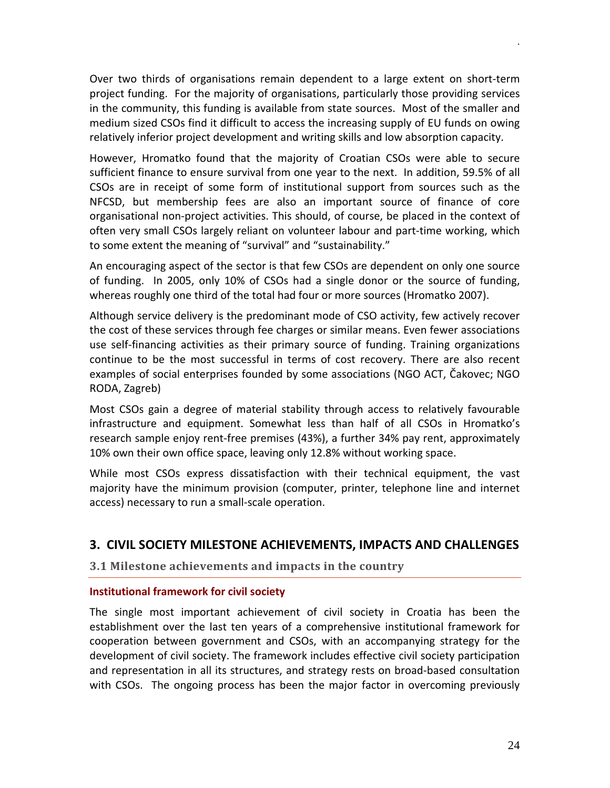Over two thirds of organisations remain dependent to a large extent on short-term project funding. For the majority of organisations, particularly those providing services in the community, this funding is available from state sources. Most of the smaller and medium sized CSOs find it difficult to access the increasing supply of EU funds on owing relatively inferior project development and writing skills and low absorption capacity.

However, Hromatko found that the majority of Croatian CSOs were able to secure sufficient finance to ensure survival from one year to the next. In addition, 59.5% of all CSOs are in receipt of some form of institutional support from sources such as the NFCSD, but membership fees are also an important source of finance of core organisational non-project activities. This should, of course, be placed in the context of often very small CSOs largely reliant on volunteer labour and part-time working, which to some extent the meaning of "survival" and "sustainability."

An encouraging aspect of the sector is that few CSOs are dependent on only one source of funding. In 2005, only 10% of CSOs had a single donor or the source of funding, whereas roughly one third of the total had four or more sources (Hromatko 2007).

Although service delivery is the predominant mode of CSO activity, few actively recover the cost of these services through fee charges or similar means. Even fewer associations use self-financing activities as their primary source of funding. Training organizations continue to be the most successful in terms of cost recovery. There are also recent examples of social enterprises founded by some associations (NGO ACT, Čakovec; NGO RODA, Zagreb)

Most CSOs gain a degree of material stability through access to relatively favourable infrastructure and equipment. Somewhat less than half of all CSOs in Hromatko's research sample enjoy rent-free premises (43%), a further 34% pay rent, approximately 10% own their own office space, leaving only 12.8% without working space.

While most CSOs express dissatisfaction with their technical equipment, the vast majority have the minimum provision (computer, printer, telephone line and internet access) necessary to run a small-scale operation.

## <span id="page-23-0"></span>**3. CIVIL SOCIETY MILESTONE ACHIEVEMENTS, IMPACTS AND CHALLENGES**

## <span id="page-23-1"></span>**3.1 Milestone achievements and impacts in the country**

## <span id="page-23-2"></span>**Institutional framework for civil society**

The single most important achievement of civil society in Croatia has been the establishment over the last ten years of a comprehensive institutional framework for cooperation between government and CSOs, with an accompanying strategy for the development of civil society. The framework includes effective civil society participation and representation in all its structures, and strategy rests on broad-based consultation with CSOs. The ongoing process has been the major factor in overcoming previously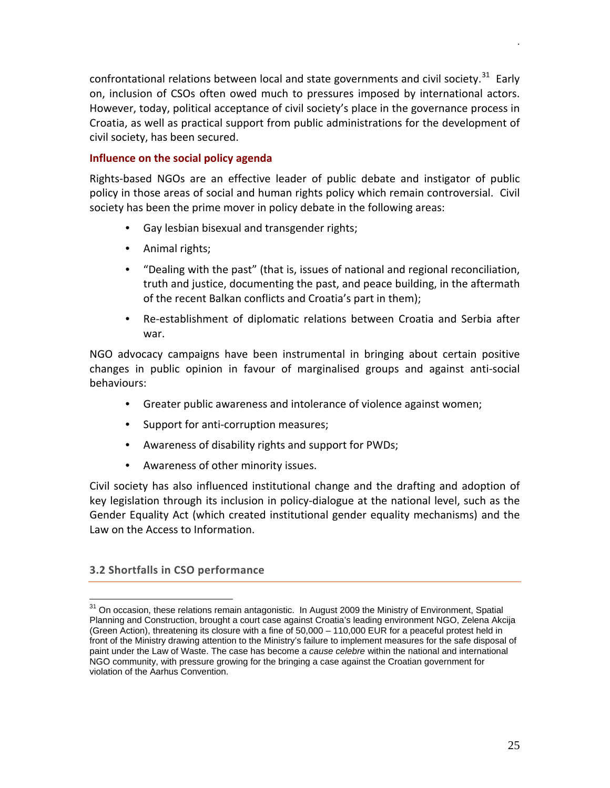confrontational relations between local and state governments and civil society.<sup>[31](#page-24-2)</sup> Early on, inclusion of CSOs often owed much to pressures imposed by international actors. However, today, political acceptance of civil society's place in the governance process in Croatia, as well as practical support from public administrations for the development of civil society, has been secured.

## <span id="page-24-0"></span>**Influence on the social policy agenda**

Rights-based NGOs are an effective leader of public debate and instigator of public policy in those areas of social and human rights policy which remain controversial. Civil society has been the prime mover in policy debate in the following areas:

- Gay lesbian bisexual and transgender rights;
- Animal rights;
- "Dealing with the past" (that is, issues of national and regional reconciliation, truth and justice, documenting the past, and peace building, in the aftermath of the recent Balkan conflicts and Croatia's part in them);
- Re-establishment of diplomatic relations between Croatia and Serbia after war.

NGO advocacy campaigns have been instrumental in bringing about certain positive changes in public opinion in favour of marginalised groups and against anti-social behaviours:

- Greater public awareness and intolerance of violence against women;
- Support for anti-corruption measures;
- Awareness of disability rights and support for PWDs;
- Awareness of other minority issues.

Civil society has also influenced institutional change and the drafting and adoption of key legislation through its inclusion in policy-dialogue at the national level, such as the Gender Equality Act (which created institutional gender equality mechanisms) and the Law on the Access to Information.

## <span id="page-24-1"></span>**3.2 Shortfalls in CSO performance**

<span id="page-24-2"></span><sup>&</sup>lt;sup>31</sup> On occasion, these relations remain antagonistic. In August 2009 the Ministry of Environment, Spatial Planning and Construction, brought a court case against Croatia's leading environment NGO, Zelena Akcija (Green Action), threatening its closure with a fine of 50,000 – 110,000 EUR for a peaceful protest held in front of the Ministry drawing attention to the Ministry's failure to implement measures for the safe disposal of paint under the Law of Waste. The case has become a *cause celebre* within the national and international NGO community, with pressure growing for the bringing a case against the Croatian government for violation of the Aarhus Convention.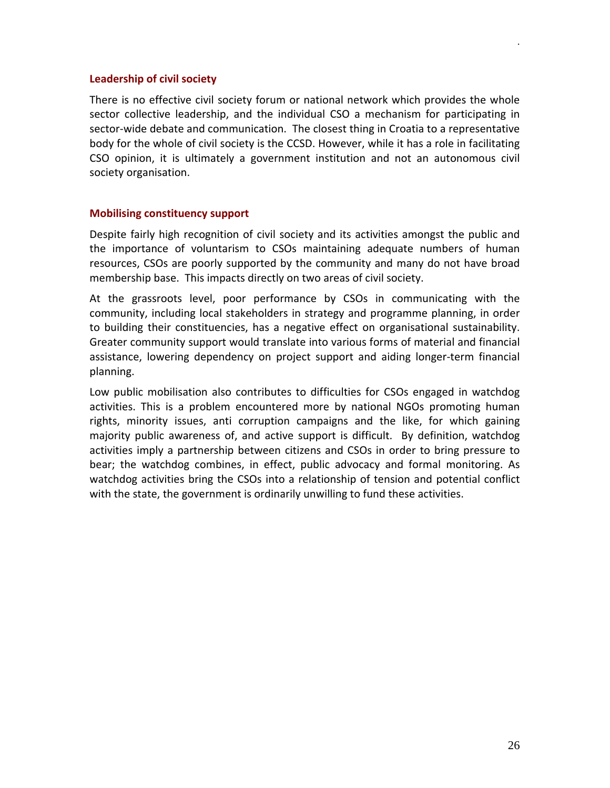#### <span id="page-25-0"></span>**Leadership of civil society**

There is no effective civil society forum or national network which provides the whole sector collective leadership, and the individual CSO a mechanism for participating in sector-wide debate and communication. The closest thing in Croatia to a representative body for the whole of civil society is the CCSD. However, while it has a role in facilitating CSO opinion, it is ultimately a government institution and not an autonomous civil society organisation.

#### <span id="page-25-1"></span>**Mobilising constituency support**

Despite fairly high recognition of civil society and its activities amongst the public and the importance of voluntarism to CSOs maintaining adequate numbers of human resources, CSOs are poorly supported by the community and many do not have broad membership base. This impacts directly on two areas of civil society.

At the grassroots level, poor performance by CSOs in communicating with the community, including local stakeholders in strategy and programme planning, in order to building their constituencies, has a negative effect on organisational sustainability. Greater community support would translate into various forms of material and financial assistance, lowering dependency on project support and aiding longer-term financial planning.

Low public mobilisation also contributes to difficulties for CSOs engaged in watchdog activities. This is a problem encountered more by national NGOs promoting human rights, minority issues, anti corruption campaigns and the like, for which gaining majority public awareness of, and active support is difficult. By definition, watchdog activities imply a partnership between citizens and CSOs in order to bring pressure to bear; the watchdog combines, in effect, public advocacy and formal monitoring. As watchdog activities bring the CSOs into a relationship of tension and potential conflict with the state, the government is ordinarily unwilling to fund these activities.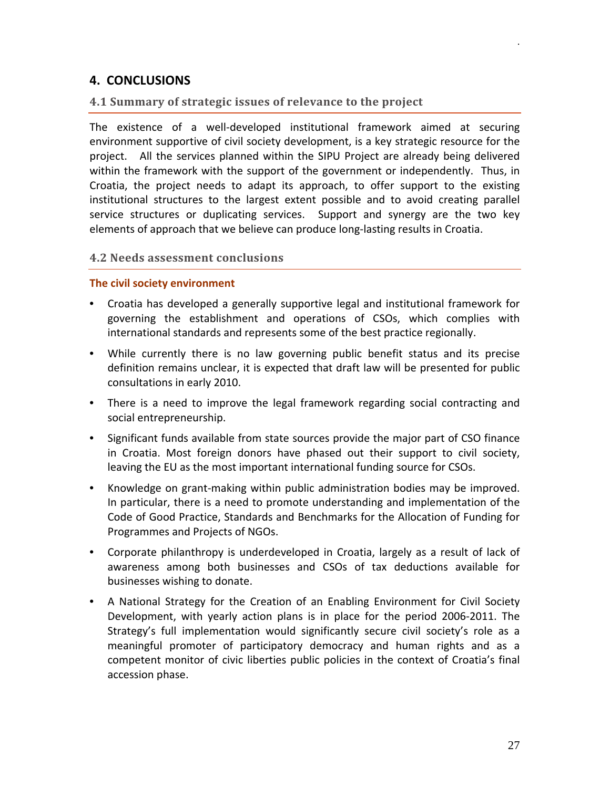## <span id="page-26-0"></span>**4. CONCLUSIONS**

## <span id="page-26-1"></span>**4.1 Summary of strategic issues of relevance to the project**

The existence of a well-developed institutional framework aimed at securing environment supportive of civil society development, is a key strategic resource for the project. All the services planned within the SIPU Project are already being delivered within the framework with the support of the government or independently. Thus, in Croatia, the project needs to adapt its approach, to offer support to the existing institutional structures to the largest extent possible and to avoid creating parallel service structures or duplicating services. Support and synergy are the two key elements of approach that we believe can produce long-lasting results in Croatia.

## <span id="page-26-2"></span>**4.2 Needs assessment conclusions**

#### <span id="page-26-3"></span>**The civil society environment**

- Croatia has developed a generally supportive legal and institutional framework for governing the establishment and operations of CSOs, which complies with international standards and represents some of the best practice regionally.
- While currently there is no law governing public benefit status and its precise definition remains unclear, it is expected that draft law will be presented for public consultations in early 2010.
- There is a need to improve the legal framework regarding social contracting and social entrepreneurship.
- Significant funds available from state sources provide the major part of CSO finance in Croatia. Most foreign donors have phased out their support to civil society, leaving the EU as the most important international funding source for CSOs.
- Knowledge on grant-making within public administration bodies may be improved. In particular, there is a need to promote understanding and implementation of the Code of Good Practice, Standards and Benchmarks for the Allocation of Funding for Programmes and Projects of NGOs.
- Corporate philanthropy is underdeveloped in Croatia, largely as a result of lack of awareness among both businesses and CSOs of tax deductions available for businesses wishing to donate.
- A National Strategy for the Creation of an Enabling Environment for Civil Society Development, with yearly action plans is in place for the period 2006-2011. The Strategy's full implementation would significantly secure civil society's role as a meaningful promoter of participatory democracy and human rights and as a competent monitor of civic liberties public policies in the context of Croatia's final accession phase.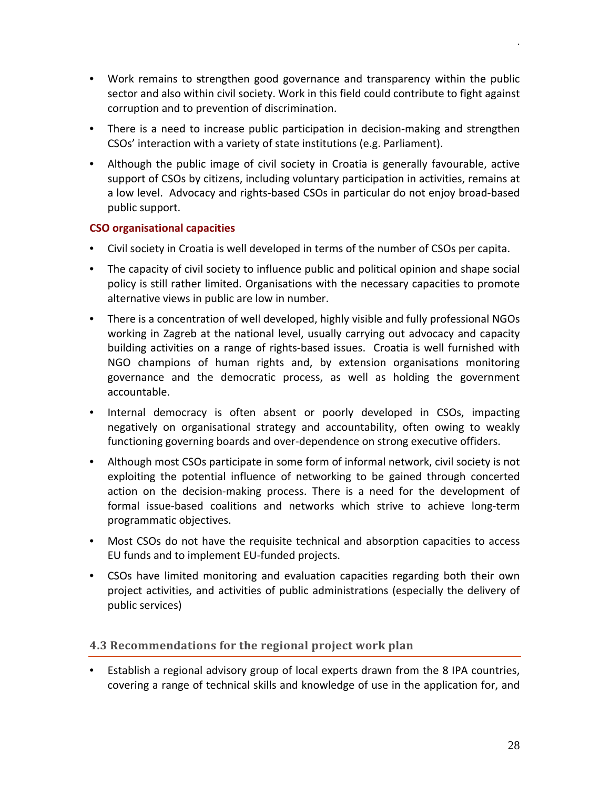- Work remains to **s**trengthen good governance and transparency within the public sector and also within civil society. Work in this field could contribute to fight against corruption and to prevention of discrimination.
- There is a need to increase public participation in decision-making and strengthen CSOs' interaction with a variety of state institutions (e.g. Parliament).
- Although the public image of civil society in Croatia is generally favourable, active support of CSOs by citizens, including voluntary participation in activities, remains at a low level. Advocacy and rights-based CSOs in particular do not enjoy broad-based public support.

## <span id="page-27-0"></span>**CSO organisational capacities**

- Civil society in Croatia is well developed in terms of the number of CSOs per capita.
- The capacity of civil society to influence public and political opinion and shape social policy is still rather limited. Organisations with the necessary capacities to promote alternative views in public are low in number.
- There is a concentration of well developed, highly visible and fully professional NGOs working in Zagreb at the national level, usually carrying out advocacy and capacity building activities on a range of rights-based issues. Croatia is well furnished with NGO champions of human rights and, by extension organisations monitoring governance and the democratic process, as well as holding the government accountable.
- Internal democracy is often absent or poorly developed in CSOs, impacting negatively on organisational strategy and accountability, often owing to weakly functioning governing boards and over-dependence on strong executive offiders.
- Although most CSOs participate in some form of informal network, civil society is not exploiting the potential influence of networking to be gained through concerted action on the decision-making process. There is a need for the development of formal issue-based coalitions and networks which strive to achieve long-term programmatic objectives.
- Most CSOs do not have the requisite technical and absorption capacities to access EU funds and to implement EU-funded projects.
- CSOs have limited monitoring and evaluation capacities regarding both their own project activities, and activities of public administrations (especially the delivery of public services)

## <span id="page-27-1"></span>**4.3 Recommendations for the regional project work plan**

• Establish a regional advisory group of local experts drawn from the 8 IPA countries, covering a range of technical skills and knowledge of use in the application for, and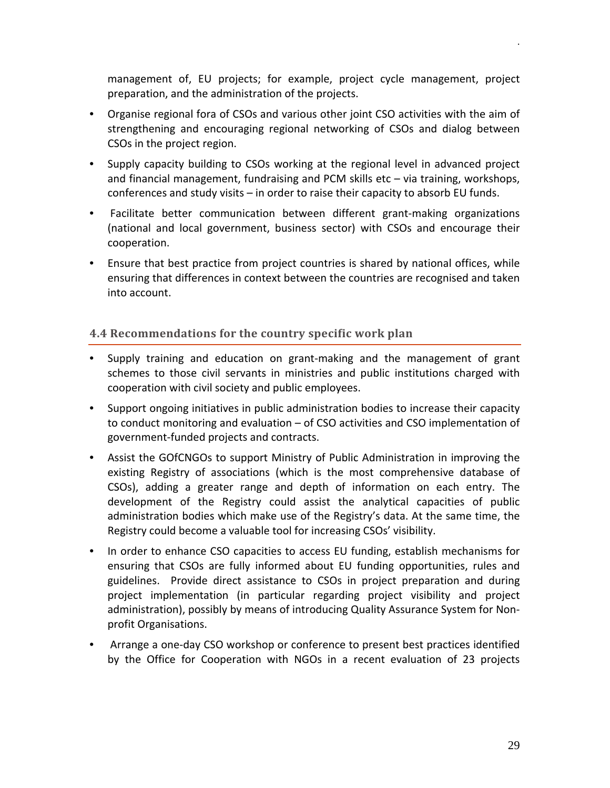management of, EU projects; for example, project cycle management, project preparation, and the administration of the projects.

- Organise regional fora of CSOs and various other joint CSO activities with the aim of strengthening and encouraging regional networking of CSOs and dialog between CSOs in the project region.
- Supply capacity building to CSOs working at the regional level in advanced project and financial management, fundraising and PCM skills etc – via training, workshops, conferences and study visits – in order to raise their capacity to absorb EU funds.
- Facilitate better communication between different grant-making organizations (national and local government, business sector) with CSOs and encourage their cooperation.
- Ensure that best practice from project countries is shared by national offices, while ensuring that differences in context between the countries are recognised and taken into account.

## <span id="page-28-0"></span>**4.4 Recommendations for the country specific work plan**

- Supply training and education on grant-making and the management of grant schemes to those civil servants in ministries and public institutions charged with cooperation with civil society and public employees.
- Support ongoing initiatives in public administration bodies to increase their capacity to conduct monitoring and evaluation – of CSO activities and CSO implementation of government-funded projects and contracts.
- Assist the GOfCNGOs to support Ministry of Public Administration in improving the existing Registry of associations (which is the most comprehensive database of CSOs), adding a greater range and depth of information on each entry. The development of the Registry could assist the analytical capacities of public administration bodies which make use of the Registry's data. At the same time, the Registry could become a valuable tool for increasing CSOs' visibility.
- In order to enhance CSO capacities to access EU funding, establish mechanisms for ensuring that CSOs are fully informed about EU funding opportunities, rules and guidelines. Provide direct assistance to CSOs in project preparation and during project implementation (in particular regarding project visibility and project administration), possibly by means of introducing Quality Assurance System for Nonprofit Organisations.
- Arrange a one-day CSO workshop or conference to present best practices identified by the Office for Cooperation with NGOs in a recent evaluation of 23 projects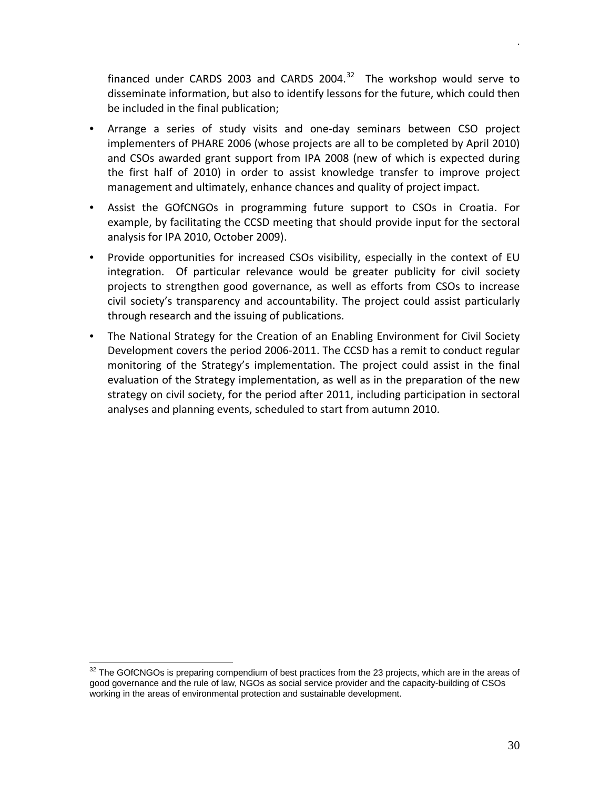financed under CARDS 2003 and CARDS 2004. $32$  The workshop would serve to disseminate information, but also to identify lessons for the future, which could then be included in the final publication;

- Arrange a series of study visits and one-day seminars between CSO project implementers of PHARE 2006 (whose projects are all to be completed by April 2010) and CSOs awarded grant support from IPA 2008 (new of which is expected during the first half of 2010) in order to assist knowledge transfer to improve project management and ultimately, enhance chances and quality of project impact.
- Assist the GOfCNGOs in programming future support to CSOs in Croatia. For example, by facilitating the CCSD meeting that should provide input for the sectoral analysis for IPA 2010, October 2009).
- Provide opportunities for increased CSOs visibility, especially in the context of EU integration. Of particular relevance would be greater publicity for civil society projects to strengthen good governance, as well as efforts from CSOs to increase civil society's transparency and accountability. The project could assist particularly through research and the issuing of publications.
- The National Strategy for the Creation of an Enabling Environment for Civil Society Development covers the period 2006-2011. The CCSD has a remit to conduct regular monitoring of the Strategy's implementation. The project could assist in the final evaluation of the Strategy implementation, as well as in the preparation of the new strategy on civil society, for the period after 2011, including participation in sectoral analyses and planning events, scheduled to start from autumn 2010.

<span id="page-29-0"></span><sup>&</sup>lt;sup>32</sup> The GOfCNGOs is preparing compendium of best practices from the 23 projects, which are in the areas of good governance and the rule of law, NGOs as social service provider and the capacity-building of CSOs working in the areas of environmental protection and sustainable development.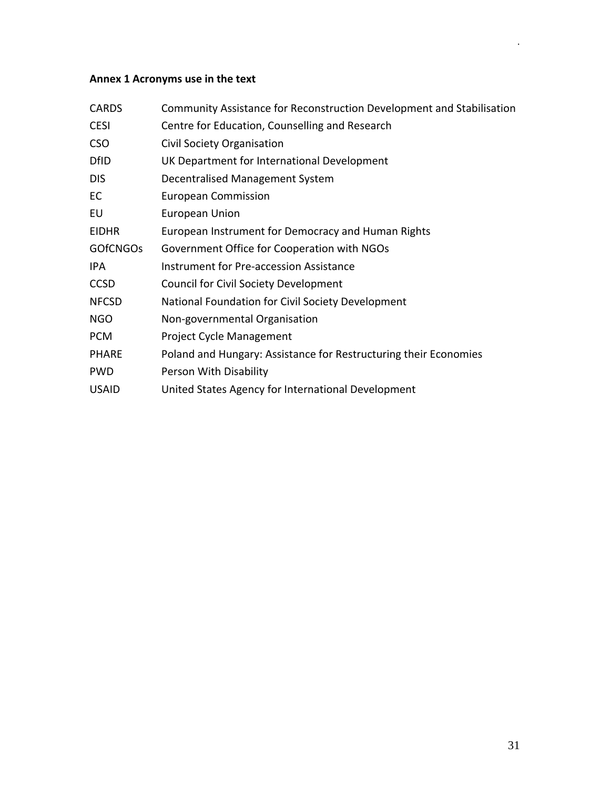## <span id="page-30-0"></span>**Annex 1 Acronyms use in the text**

| <b>CARDS</b>    | Community Assistance for Reconstruction Development and Stabilisation |
|-----------------|-----------------------------------------------------------------------|
| <b>CESI</b>     | Centre for Education, Counselling and Research                        |
| <b>CSO</b>      | Civil Society Organisation                                            |
| <b>DfID</b>     | UK Department for International Development                           |
| <b>DIS</b>      | Decentralised Management System                                       |
| EC              | <b>European Commission</b>                                            |
| EU              | <b>European Union</b>                                                 |
| <b>EIDHR</b>    | European Instrument for Democracy and Human Rights                    |
| <b>GOFCNGOS</b> | Government Office for Cooperation with NGOs                           |
| IPA             | Instrument for Pre-accession Assistance                               |
| <b>CCSD</b>     | <b>Council for Civil Society Development</b>                          |
| <b>NFCSD</b>    | National Foundation for Civil Society Development                     |
| <b>NGO</b>      | Non-governmental Organisation                                         |
| <b>PCM</b>      | Project Cycle Management                                              |
| <b>PHARE</b>    | Poland and Hungary: Assistance for Restructuring their Economies      |
| <b>PWD</b>      | Person With Disability                                                |
| <b>USAID</b>    | United States Agency for International Development                    |
|                 |                                                                       |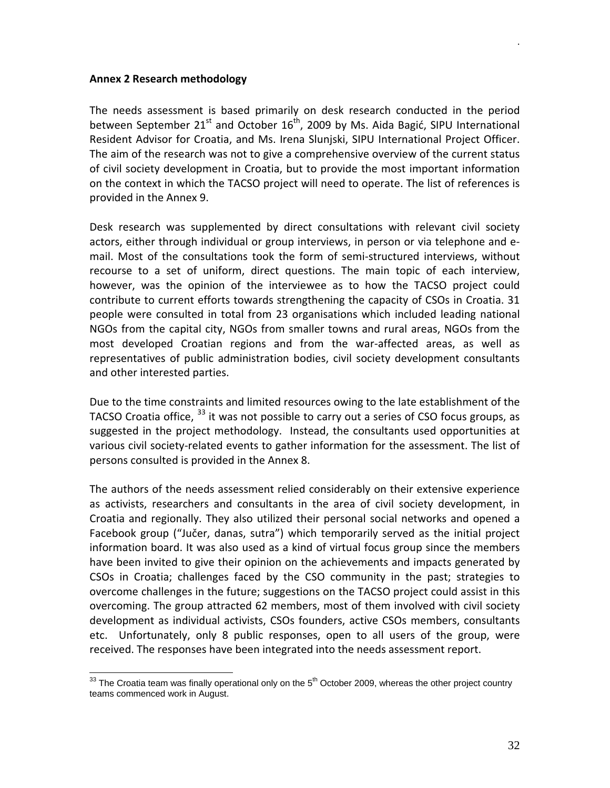#### <span id="page-31-0"></span>**Annex 2 Research methodology**

The needs assessment is based primarily on desk research conducted in the period between September  $21^{st}$  and October  $16^{th}$ , 2009 by Ms. Aida Bagić, SIPU International Resident Advisor for Croatia, and Ms. Irena Slunjski, SIPU International Project Officer. The aim of the research was not to give a comprehensive overview of the current status of civil society development in Croatia, but to provide the most important information on the context in which the TACSO project will need to operate. The list of references is provided in the Annex 9.

Desk research was supplemented by direct consultations with relevant civil society actors, either through individual or group interviews, in person or via telephone and email. Most of the consultations took the form of semi-structured interviews, without recourse to a set of uniform, direct questions. The main topic of each interview, however, was the opinion of the interviewee as to how the TACSO project could contribute to current efforts towards strengthening the capacity of CSOs in Croatia. 31 people were consulted in total from 23 organisations which included leading national NGOs from the capital city, NGOs from smaller towns and rural areas, NGOs from the most developed Croatian regions and from the war-affected areas, as well as representatives of public administration bodies, civil society development consultants and other interested parties.

Due to the time constraints and limited resources owing to the late establishment of the TACSO Croatia office, <sup>[33](#page-31-1)</sup> it was not possible to carry out a series of CSO focus groups, as suggested in the project methodology. Instead, the consultants used opportunities at various civil society-related events to gather information for the assessment. The list of persons consulted is provided in the Annex 8.

The authors of the needs assessment relied considerably on their extensive experience as activists, researchers and consultants in the area of civil society development, in Croatia and regionally. They also utilized their personal social networks and opened a Facebook group ("Jučer, danas, sutra") which temporarily served as the initial project information board. It was also used as a kind of virtual focus group since the members have been invited to give their opinion on the achievements and impacts generated by CSOs in Croatia; challenges faced by the CSO community in the past; strategies to overcome challenges in the future; suggestions on the TACSO project could assist in this overcoming. The group attracted 62 members, most of them involved with civil society development as individual activists, CSOs founders, active CSOs members, consultants etc. Unfortunately, only 8 public responses, open to all users of the group, were received. The responses have been integrated into the needs assessment report.

<span id="page-31-1"></span> $33$  The Croatia team was finally operational only on the  $5<sup>th</sup>$  October 2009, whereas the other project country teams commenced work in August.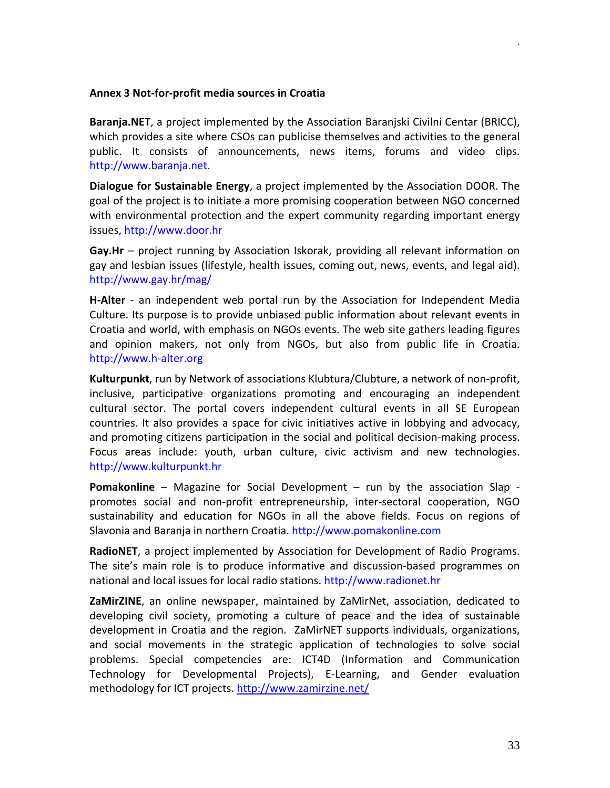#### <span id="page-32-0"></span>**Annex 3 Not-for-profit media sources in Croatia**

**Baranja.NET**, a project implemented by the Association Baranjski Civilni Centar (BRICC), which provides a site where CSOs can publicise themselves and activities to the general public. It consists of announcements, news items, forums and video clips. [http://www.baranja.net.](http://www.baranja.net/)

**Dialogue for Sustainable Energy**, a project implemented by the Association DOOR. The goal of the project is to initiate a more promising cooperation between NGO concerned with environmental protection and the expert community regarding important energy issues, [http://www.door.hr](http://www.door.hr/)

**Gay.Hr** – project running by Association Iskorak, providing all relevant information on gay and lesbian issues (lifestyle, health issues, coming out, news, events, and legal aid). <http://www.gay.hr/mag/>

**H-Alter** - an independent web portal run by the Association for Independent Media Culture. Its purpose is to provide unbiased public information about relevant events in Croatia and world, with emphasis on NGOs events. The web site gathers leading figures and opinion makers, not only from NGOs, but also from public life in Croatia. [http://www.h-alter.org](http://www.h-alter.org/)

**Kulturpunkt**, run by Network of associations Klubtura/Clubture, a network of non-profit, inclusive, participative organizations promoting and encouraging an independent cultural sector. The portal covers independent cultural events in all SE European countries. It also provides a space for civic initiatives active in lobbying and advocacy, and promoting citizens participation in the social and political decision-making process. Focus areas include: youth, urban culture, civic activism and new technologies. [http://www.kulturpunkt.hr](http://www.kulturpunkt.hr/)

**Pomakonline** – Magazine for Social Development – run by the association Slap promotes social and non-profit entrepreneurship, inter-sectoral cooperation, NGO sustainability and education for NGOs in all the above fields. Focus on regions of Slavonia and Baranja in northern Croatia. [http://www.pomakonline.com](http://www.pomakonline.com/)

**RadioNET**, a project implemented by Association for Development of Radio Programs. The site's main role is to produce informative and discussion-based programmes on national and local issues for local radio stations. [http://www.radionet.hr](http://www.radionet.hr/)

**ZaMirZINE**, an online newspaper, maintained by ZaMirNet, association, dedicated to developing civil society, promoting a culture of peace and the idea of sustainable development in Croatia and the region. ZaMirNET supports individuals, organizations, and social movements in the strategic application of technologies to solve social problems. Special competencies are: ICT4D (Information and Communication Technology for Developmental Projects), E-Learning, and Gender evaluation methodology for ICT projects.<http://www.zamirzine.net/>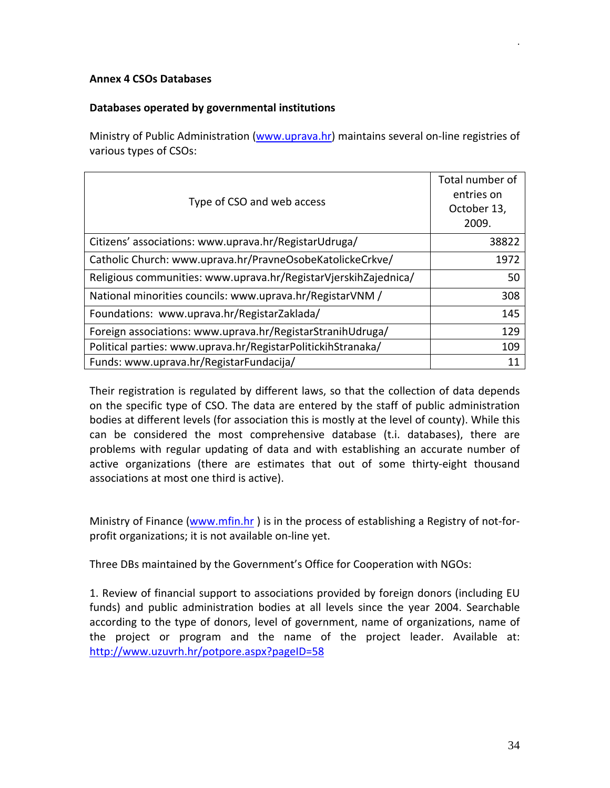#### <span id="page-33-0"></span>**Annex 4 CSOs Databases**

## **Databases operated by governmental institutions**

Ministry of Public Administration [\(www.uprava.hr\)](http://www.uprava.hr/) maintains several on-line registries of various types of CSOs:

| Type of CSO and web access                                      | Total number of<br>entries on<br>October 13,<br>2009. |
|-----------------------------------------------------------------|-------------------------------------------------------|
| Citizens' associations: www.uprava.hr/RegistarUdruga/           | 38822                                                 |
| Catholic Church: www.uprava.hr/PravneOsobeKatolickeCrkve/       | 1972                                                  |
| Religious communities: www.uprava.hr/RegistarVjerskihZajednica/ | 50                                                    |
| National minorities councils: www.uprava.hr/RegistarVNM /       | 308                                                   |
| Foundations: www.uprava.hr/RegistarZaklada/                     | 145                                                   |
| Foreign associations: www.uprava.hr/RegistarStranihUdruga/      | 129                                                   |
| Political parties: www.uprava.hr/RegistarPolitickihStranaka/    | 109                                                   |
| Funds: www.uprava.hr/RegistarFundacija/                         | 11                                                    |

Their registration is regulated by different laws, so that the collection of data depends on the specific type of CSO. The data are entered by the staff of public administration bodies at different levels (for association this is mostly at the level of county). While this can be considered the most comprehensive database (t.i. databases), there are problems with regular updating of data and with establishing an accurate number of active organizations (there are estimates that out of some thirty-eight thousand associations at most one third is active).

Ministry of Finance [\(www.mfin.hr](http://www.mfin.hr/) ) is in the process of establishing a Registry of not-forprofit organizations; it is not available on-line yet.

Three DBs maintained by the Government's Office for Cooperation with NGOs:

1. Review of financial support to associations provided by foreign donors (including EU funds) and public administration bodies at all levels since the year 2004. Searchable according to the type of donors, level of government, name of organizations, name of the project or program and the name of the project leader. Available at: http://www.[uzuvrh.hr/potpore.aspx?pageID=58](http://www.uzuvrh.hr/potpore.aspx?pageID=58)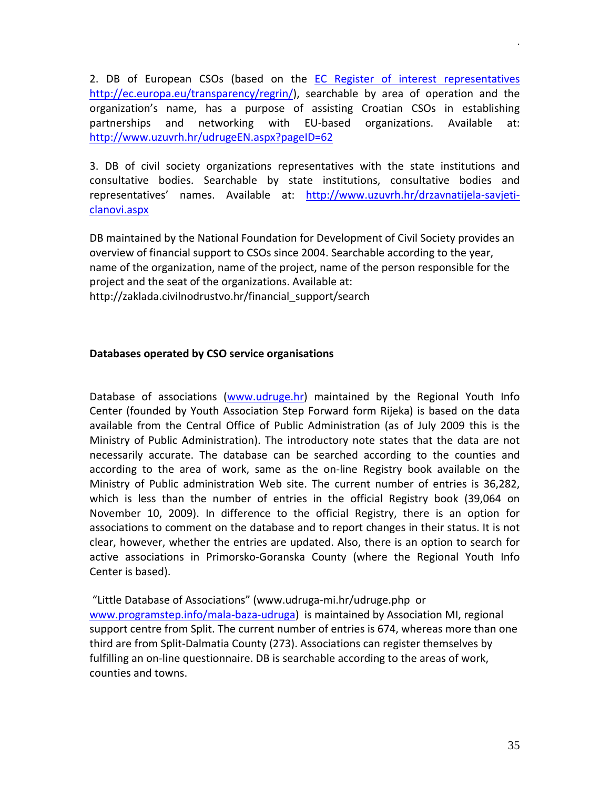2. DB of European CSOs (based on the [EC Register of interest representatives](http://ec.europa.eu/transparency/regrin/) [http://ec.europa.eu/transparency/regrin/\)](http://ec.europa.eu/transparency/regrin/), searchable by area of operation and the organization's name, has a purpose of assisting Croatian CSOs in establishing partnerships and networking with EU-based organizations. Available at: <http://www.uzuvrh.hr/udrugeEN.aspx?pageID=62>

3. DB of civil society organizations representatives with the state institutions and consultative bodies. Searchable by state institutions, consultative bodies and representatives' names. Available at: [http://www.uzuvrh.hr/drzavnatijela-savjeti](http://www.uzuvrh.hr/drzavnatijela-savjeti-clanovi.aspx)[clanovi.aspx](http://www.uzuvrh.hr/drzavnatijela-savjeti-clanovi.aspx)

DB maintained by the National Foundation for Development of Civil Society provides an overview of financial support to CSOs since 2004. Searchable according to the year, name of the organization, name of the project, name of the person responsible for the project and the seat of the organizations. Available at: http://zaklada.civilnodrustvo.hr/financial\_support/search

#### **Databases operated by CSO service organisations**

Database of associations [\(www.udruge.hr\)](http://www.udruge.hr/) maintained by the Regional Youth Info Center (founded by Youth Association Step Forward form Rijeka) is based on the data available from the Central Office of Public Administration (as of July 2009 this is the Ministry of Public Administration). The introductory note states that the data are not necessarily accurate. The database can be searched according to the counties and according to the area of work, same as the on-line Registry book available on the Ministry of Public administration Web site. The current number of entries is 36,282, which is less than the number of entries in the official Registry book (39,064 on November 10, 2009). In difference to the official Registry, there is an option for associations to comment on the database and to report changes in their status. It is not clear, however, whether the entries are updated. Also, there is an option to search for active associations in Primorsko-Goranska County (where the Regional Youth Info Center is based).

"Little Database of Associations" (www.udruga-mi.hr/udruge.php or [www.programstep.info/mala-baza-udruga\)](http://www.programstep.info/mala-baza-udruga) is maintained by Association MI, regional support centre from Split. The current number of entries is 674, whereas more than one third are from Split-Dalmatia County (273). Associations can register themselves by fulfilling an on-line questionnaire. DB is searchable according to the areas of work, counties and towns.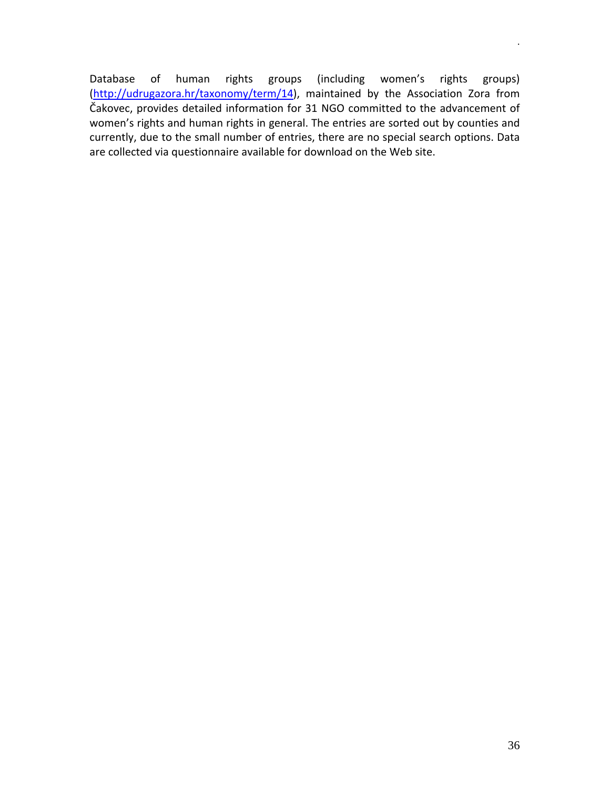Database of human rights groups (including women's rights groups) (<http://udrugazora.hr/taxonomy/term/14>), maintained by the Association Zora from Čakovec, provides detailed information for 31 NGO committed to the advancement of women's rights and human rights in general. The entries are sorted out by counties and currently, due to the small number of entries, there are no special search options. Data are collected via questionnaire available for download on the Web site.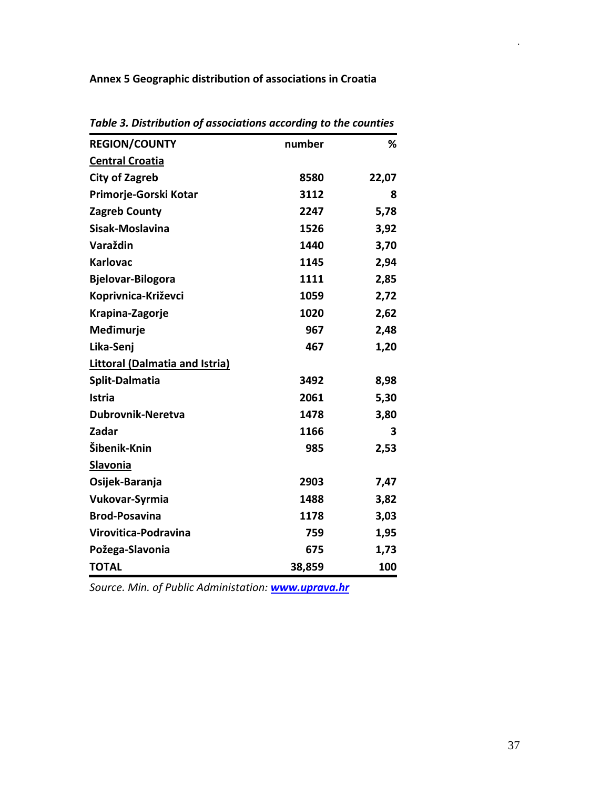<span id="page-36-0"></span>**Annex 5 Geographic distribution of associations in Croatia**

| abic 3. Distribution of associations according to the counties |        |       |
|----------------------------------------------------------------|--------|-------|
| <b>REGION/COUNTY</b>                                           | number | %     |
| <b>Central Croatia</b>                                         |        |       |
| <b>City of Zagreb</b>                                          | 8580   | 22,07 |
| Primorje-Gorski Kotar                                          | 3112   | 8     |
| <b>Zagreb County</b>                                           | 2247   | 5,78  |
| Sisak-Moslavina                                                | 1526   | 3,92  |
| Varaždin                                                       | 1440   | 3,70  |
| <b>Karlovac</b>                                                | 1145   | 2,94  |
| <b>Bjelovar-Bilogora</b>                                       | 1111   | 2,85  |
| Koprivnica-Križevci                                            | 1059   | 2,72  |
| Krapina-Zagorje                                                | 1020   | 2,62  |
| Medimurje                                                      | 967    | 2,48  |
| Lika-Senj                                                      | 467    | 1,20  |
| <b>Littoral (Dalmatia and Istria)</b>                          |        |       |
| Split-Dalmatia                                                 | 3492   | 8,98  |
| <b>Istria</b>                                                  | 2061   | 5,30  |
| <b>Dubrovnik-Neretva</b>                                       | 1478   | 3,80  |
| Zadar                                                          | 1166   | 3     |
| Šibenik-Knin                                                   | 985    | 2,53  |
| <b>Slavonia</b>                                                |        |       |
| Osijek-Baranja                                                 | 2903   | 7,47  |
| Vukovar-Syrmia                                                 | 1488   | 3,82  |
| <b>Brod-Posavina</b>                                           | 1178   | 3,03  |
| Virovitica-Podravina                                           | 759    | 1,95  |
| Požega-Slavonia                                                | 675    | 1,73  |
| <b>TOTAL</b>                                                   | 38,859 | 100   |
|                                                                |        |       |

*Table 3. Distribution of associations according to the counties*

*Source. Min. of Public Administation: [www.uprava.hr](http://www.uprava.hr/)*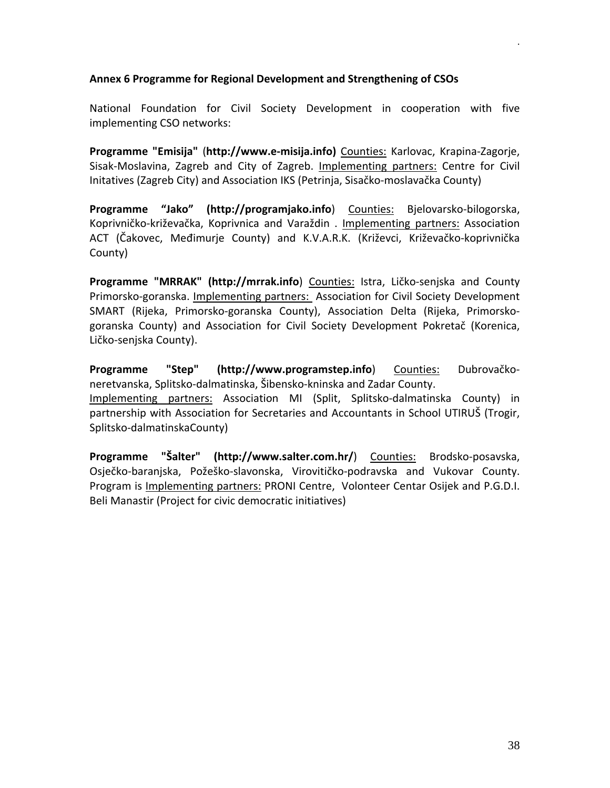#### <span id="page-37-0"></span>**Annex 6 Programme for Regional Development and Strengthening of CSOs**

National Foundation for Civil Society Development in cooperation with five implementing CSO networks:

**Programme "Emisija"** (**[http://www.e-misija.info\)](http://www.e-misija.info/)** Counties: Karlovac, Krapina-Zagorje, Sisak-Moslavina, Zagreb and City of Zagreb. Implementing partners: Centre for Civil Initatives (Zagreb City) and Association IKS (Petrinja, Sisačko-moslavačka County)

**Programme "Jako" ( [http://programjako.info](http://programjako.info/)**) Counties: Bjelovarsko-bilogorska, Koprivničko-križevačka, Koprivnica and Varaždin . Implementing partners: Association ACT (Čakovec, Međimurje County) and K.V.A.R.K. (Križevci, Križevačko-koprivnička County)

**Programme "MRRAK" ( [http://mrrak.info](http://mrrak.info/)**) Counties: Istra, Ličko-senjska and County Primorsko-goranska. Implementing partners: Association for Civil Society Development SMART (Rijeka, Primorsko-goranska County), Association Delta (Rijeka, Primorskogoranska County) and Association for Civil Society Development Pokretač (Korenica, Ličko-senjska County).

**Programme "Step" [\(http://www.programstep.info](http://www.programstep.info/)**) Counties: Dubrovačkoneretvanska, Splitsko-dalmatinska, Šibensko-kninska and Zadar County.

Implementing partners: Association MI (Split, Splitsko-dalmatinska County) in partnership with Association for Secretaries and Accountants in School UTIRUŠ (Trogir, Splitsko-dalmatinskaCounty)

**Programme "Šalter" ( <http://www.salter.com.hr/>**) Counties: Brodsko-posavska, Osječko-baranjska, Požeško-slavonska, Virovitičko-podravska and Vukovar County. Program is Implementing partners: PRONI Centre, Volonteer Centar Osijek and P.G.D.I. Beli Manastir (Project for civic democratic initiatives)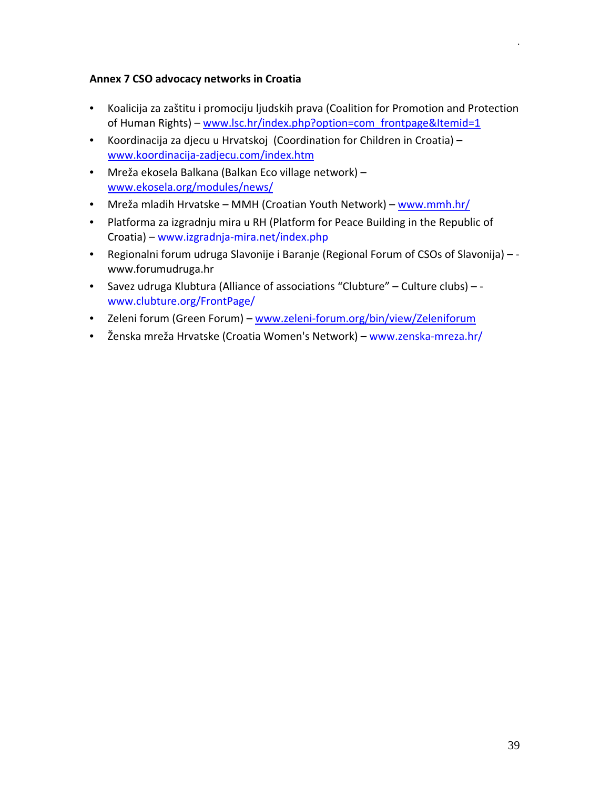## <span id="page-38-0"></span>**Annex 7 CSO advocacy networks in Croatia**

- Koalicija za zaštitu i promociju ljudskih prava (Coalition for Promotion and Protection of Human Rights) – [www.lsc.hr/index.php?option=com\\_frontpage&I](http://www.lsc.hr/index.php?option=com_frontpage&Itemid=1)temid=1
- Koordinacija za djecu u Hrvatskoj (Coordination for Children in Croatia) [www.koordinacija-zadjecu.com/index.htm](http://www.koordinacija-zadjecu.com/index.htm)
- Mreža ekosela Balkana (Balkan Eco village network) [www.ekosela.org/modules/news/](http://www.ekosela.org/modules/news/)
- Mreža mladih Hrvatske MMH (Croatian Youth Network) [www.mmh.hr/](http://www.mmh.hr/)
- Platforma za izgradnju mira u RH (Platform for Peace Building in the Republic of Croatia) – www.izgradnja-mira.net/index.php
- Regionalni forum udruga Slavonije i Baranje (Regional Forum of CSOs of Slavonija) www.forumudruga.hr
- Savez udruga Klubtura (Alliance of associations "Clubture" Culture clubs) www.clubture.org/FrontPage/
- Zeleni forum (Green Forum) www.zeleni-[forum.org/bin/view/Zeleniforum](http://www.zeleni-forum.org/bin/view/Zeleniforum)
- Ženska mreža Hrvatske (Croatia Women's Network) www.zenska-mreza.hr/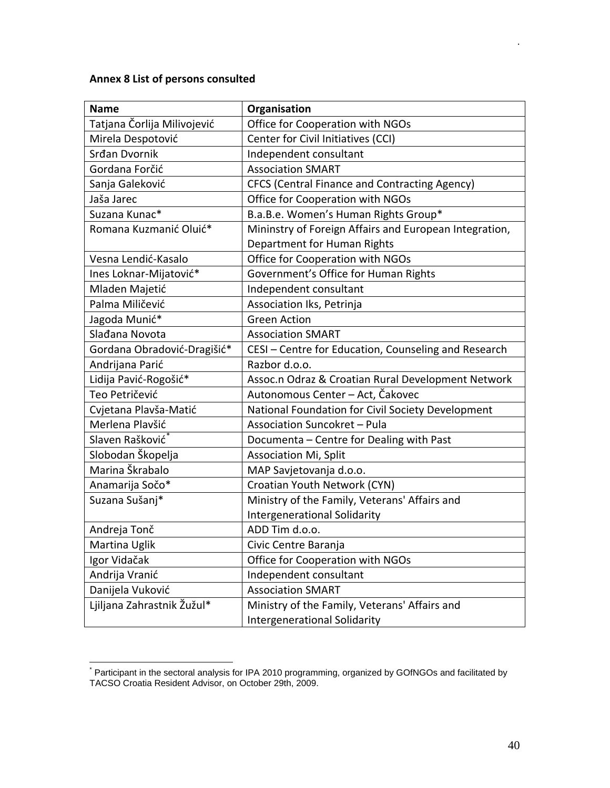## <span id="page-39-0"></span>**Annex 8 List of persons consulted**

| <b>Name</b>                 | Organisation                                           |
|-----------------------------|--------------------------------------------------------|
| Tatjana Čorlija Milivojević | Office for Cooperation with NGOs                       |
| Mirela Despotović           | Center for Civil Initiatives (CCI)                     |
| Srđan Dvornik               | Independent consultant                                 |
| Gordana Forčić              | <b>Association SMART</b>                               |
| Sanja Galeković             | <b>CFCS (Central Finance and Contracting Agency)</b>   |
| Jaša Jarec                  | Office for Cooperation with NGOs                       |
| Suzana Kunac*               | B.a.B.e. Women's Human Rights Group*                   |
| Romana Kuzmanić Oluić*      | Mininstry of Foreign Affairs and European Integration, |
|                             | Department for Human Rights                            |
| Vesna Lendić-Kasalo         | Office for Cooperation with NGOs                       |
| Ines Loknar-Mijatović*      | Government's Office for Human Rights                   |
| Mladen Majetić              | Independent consultant                                 |
| Palma Miličević             | Association Iks, Petrinja                              |
| Jagoda Munić*               | <b>Green Action</b>                                    |
| Slađana Novota              | <b>Association SMART</b>                               |
| Gordana Obradović-Dragišić* | CESI - Centre for Education, Counseling and Research   |
| Andrijana Parić             | Razbor d.o.o.                                          |
| Lidija Pavić-Rogošić*       | Assoc.n Odraz & Croatian Rural Development Network     |
| Teo Petričević              | Autonomous Center - Act, Čakovec                       |
| Cvjetana Plavša-Matić       | National Foundation for Civil Society Development      |
| Merlena Plavšić             | Association Suncokret - Pula                           |
| Slaven Rašković*            | Documenta - Centre for Dealing with Past               |
| Slobodan Škopelja           | <b>Association Mi, Split</b>                           |
| Marina Škrabalo             | MAP Savjetovanja d.o.o.                                |
| Anamarija Sočo*             | Croatian Youth Network (CYN)                           |
| Suzana Sušanj*              | Ministry of the Family, Veterans' Affairs and          |
|                             | Intergenerational Solidarity                           |
| Andreja Tonč                | ADD Tim d.o.o.                                         |
| Martina Uglik               | Civic Centre Baranja                                   |
| Igor Vidačak                | Office for Cooperation with NGOs                       |
| Andrija Vranić              | Independent consultant                                 |
| Danijela Vuković            | <b>Association SMART</b>                               |
| Ljiljana Zahrastnik Žužul*  | Ministry of the Family, Veterans' Affairs and          |
|                             | Intergenerational Solidarity                           |

<span id="page-39-1"></span>\* Participant in the sectoral analysis for IPA 2010 programming, organized by GOfNGOs and facilitated by TACSO Croatia Resident Advisor, on October 29th, 2009.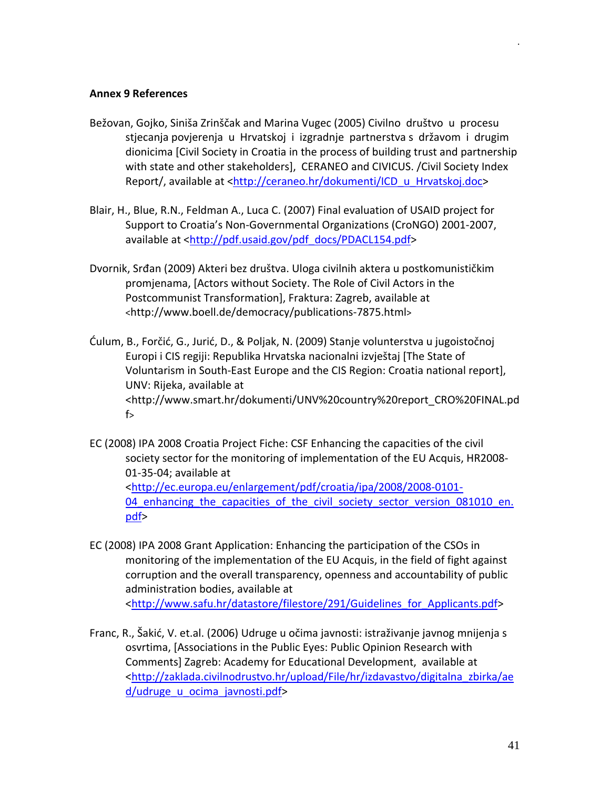#### <span id="page-40-0"></span>**Annex 9 References**

- Bežovan, Gojko, Siniša Zrinščak and Marina Vugec (2005) Civilno društvo u procesu stjecanja povjerenja u Hrvatskoj i izgradnje partnerstva s državom i drugim dionicima [Civil Society in Croatia in the process of building trust and partnership with state and other stakeholders], CERANEO and CIVICUS. /Civil Society Index Report/, available at [<http://ceraneo.hr/dokumenti/ICD\\_u\\_Hrvatskoj.doc>](http://ceraneo.hr/dokumenti/ICD_u_Hrvatskoj.doc)
- Blair, H., Blue, R.N., Feldman A., Luca C. (2007) Final evaluation of USAID project for Support to Croatia's Non-Governmental Organizations (CroNGO) 2001-2007, available at <[http://pdf.usaid.gov/pdf\\_docs/PDACL154.pdf](http://pdf.usaid.gov/pdf_docs/PDACL154.pdf)>
- Dvornik, Srđan (2009) Akteri bez društva. Uloga civilnih aktera u postkomunističkim promjenama, [Actors without Society. The Role of Civil Actors in the Postcommunist Transformation], Fraktura: Zagreb, available at <http://www.boell.de/democracy/publications-7875.html>
- Ćulum, B., Forčić, G., Jurić, D., & Poljak, N. (2009) Stanje volunterstva u jugoistočnoj Europi i CIS regiji: Republika Hrvatska nacionalni izvještaj [The State of Voluntarism in South-East Europe and the CIS Region: Croatia national report], UNV: Rijeka, available at <http://www.smart.hr/dokumenti/UNV%20country%20report\_CRO%20FINAL.pd  $f$
- EC (2008) IPA 2008 Croatia Project Fiche: CSF Enhancing the capacities of the civil society sector for the monitoring of implementation of the EU Acquis, HR2008- 01-35-04; available at <[http://ec.europa.eu/enlargement/pdf/croatia/ipa/2008/2008](http://ec.europa.eu/enlargement/pdf/croatia/ipa/2008/2008-0101-04_enhancing_the_capacities_of_the_civil_society_sector_version_081010_en.pdf)-0101- 04 enhancing the capacities of the civil society sector version 081010 en. [pdf>](http://ec.europa.eu/enlargement/pdf/croatia/ipa/2008/2008-0101-04_enhancing_the_capacities_of_the_civil_society_sector_version_081010_en.pdf)
- EC (2008) IPA 2008 Grant Application: Enhancing the participation of the CSOs in monitoring of the implementation of the EU Acquis, in the field of fight against corruption and the overall transparency, openness and accountability of public administration bodies, available at <[http://www.safu.hr/datastore/filestore/291/Guidelines\\_for\\_Applican](http://www.safu.hr/datastore/filestore/291/Guidelines_for_Applicants.pdf)ts.pdf>
- Franc, R., Šakić, V. et.al. (2006) Udruge u očima javnosti: istraživanje javnog mnijenja s osvrtima, [Associations in the Public Eyes: Public Opinion Research with Comments] Zagreb: Academy for Educational Development, available at [<http://zaklada.civilnodrustvo.hr/upload/File/hr/izdavastvo/digitalna\\_zbirka/ae](http://zaklada.civilnodrustvo.hr/upload/File/hr/izdavastvo/digitalna_zbirka/aed/udruge_u_ocima_javnosti.pdf) [d/udruge\\_u\\_ocima\\_javnosti.pdf>](http://zaklada.civilnodrustvo.hr/upload/File/hr/izdavastvo/digitalna_zbirka/aed/udruge_u_ocima_javnosti.pdf)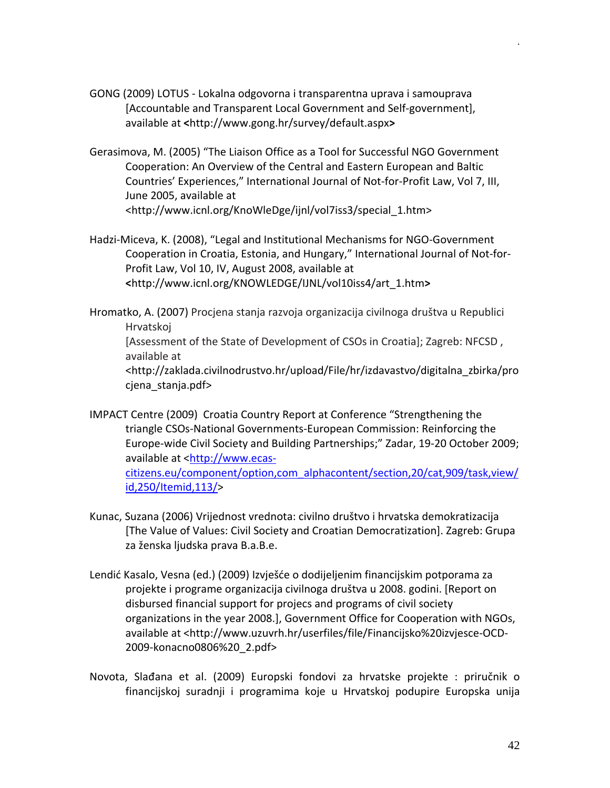- GONG (2009) LOTUS Lokalna odgovorna i transparentna uprava i samouprava [Accountable and Transparent Local Government and Self-government], available at **<**http://www.gong.hr/survey/default.aspx**>**
- Gerasimova, M. (2005) "The Liaison Office as a Tool for Successful NGO Government Cooperation: An Overview of the Central and Eastern European and Baltic Countries' Experiences," International Journal of Not-for-Profit Law, Vol 7, III, June 2005, available at <http://www.icnl.org/KnoWleDge/ijnl/vol7iss3/special\_1.htm>
- Hadzi-Miceva, K. (2008), "Legal and Institutional Mechanisms for NGO-Government Cooperation in Croatia, Estonia, and Hungary," International Journal of Not-for-Profit Law, Vol 10, IV, August 2008, available at **<**http://www.icnl.org/KNOWLEDGE/IJNL/vol10iss4/art\_1.htm**>**

Hromatko, A. (2007) Procjena stanja razvoja organizacija civilnoga društva u Republici Hrvatskoj [Assessment of the State of Development of CSOs in Croatia]; Zagreb: NFCSD , available at <http://zaklada.civilnodrustvo.hr/upload/File/hr/izdavastvo/digitalna\_zbirka/pro cjena\_stanja.pdf>

- IMPACT Centre (2009) Croatia Country Report at Conference "Strengthening the triangle CSOs-National Governments-European Commission: Reinforcing the Europe-wide Civil Society and Building Partnerships;" Zadar, 19-20 October 2009; available at [<http://www.ecas](http://www.ecas-citizens.eu/component/option,com_alphacontent/section,20/cat,909/task,view/id,250/Itemid,113/)[citizens.eu/component/option,com\\_alphacontent/section,20/cat,909/task,view/](http://www.ecas-citizens.eu/component/option,com_alphacontent/section,20/cat,909/task,view/id,250/Itemid,113/) [id,250/Itemid,113/](http://www.ecas-citizens.eu/component/option,com_alphacontent/section,20/cat,909/task,view/id,250/Itemid,113/)>
- Kunac, Suzana (2006) Vrijednost vrednota: civilno društvo i hrvatska demokratizacija [The Value of Values: Civil Society and Croatian Democratization]. Zagreb: Grupa za ženska ljudska prava B.a.B.e.
- Lendić Kasalo, Vesna (ed.) (2009) Izvješće o dodijeljenim financijskim potporama za projekte i programe organizacija civilnoga društva u 2008. godini. [Report on disbursed financial support for projecs and programs of civil society organizations in the year 2008.], Government Office for Cooperation with NGOs, available at <http://www.uzuvrh.hr/userfiles/file/Financijsko%20izvjesce-OCD-2009-konacno0806%20\_2.pdf>
- Novota, Slađana et al. (2009) Europski fondovi za hrvatske projekte : priručnik o financijskoj suradnji i programima koje u Hrvatskoj podupire Europska unija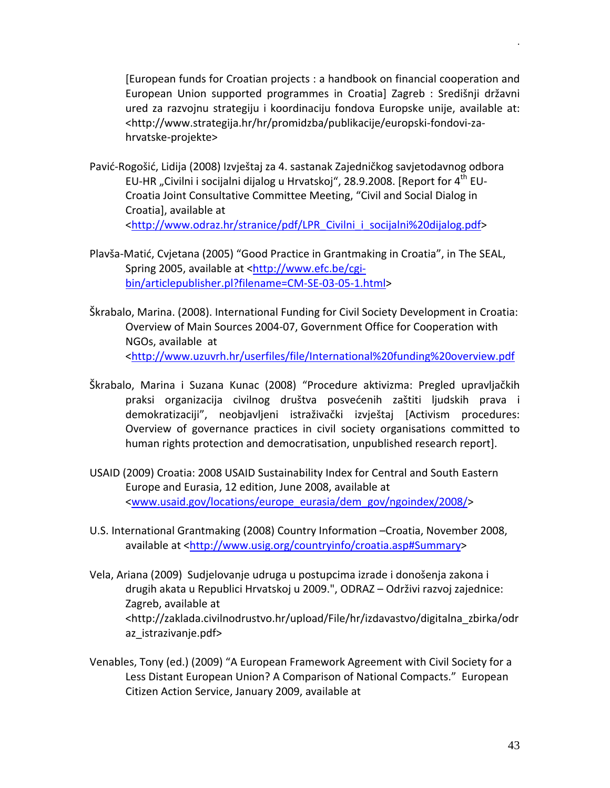[European funds for Croatian projects : a handbook on financial cooperation and European Union supported programmes in Croatia] Zagreb : Središnji državni ured za razvojnu strategiju i koordinaciju fondova Europske unije, available at: <http://www.strategija.hr/hr/promidzba/publikacije/europski-fondovi-zahrvatske-projekte>

- Pavić-Rogošić, Lidija (2008) Izvještaj za 4. sastanak Zajedničkog savjetodavnog odbora EU-HR "Civilni i socijalni dijalog u Hrvatskoj", 28.9.2008. [Report for  $4^{\text{th}}$  EU-Croatia Joint Consultative Committee Meeting, "Civil and Social Dialog in Croatia], available at <[http://www.odraz.hr/stranice/pdf/LPR\\_Civilni\\_i\\_socijalni%20dijalog.pdf](http://www.odraz.hr/stranice/pdf/LPR_Civilni_i_socijalni%20dijalog.pdf)>
- Plavša-Matić, Cvjetana (2005) "Good Practice in Grantmaking in Croatia", in The SEAL, Spring 2005, available at [<http://www.efc.be/cgi](http://www.efc.be/cgi-bin/articlepublisher.pl?filename=CM-SE-03-05-1.html)[bin/articlepublisher.pl?filename=CM](http://www.efc.be/cgi-bin/articlepublisher.pl?filename=CM-SE-03-05-1.html)-SE-03-05-1.html>
- Škrabalo, Marina. (2008). International Funding for Civil Society Development in Croatia: Overview of Main Sources 2004-07, Government Office for Cooperation with NGOs, available at <<http://www.uzuvrh.hr/userfiles/file/International%20funding%20overview.pdf>
- Škrabalo, Marina i Suzana Kunac (2008) "Procedure aktivizma: Pregled upravljačkih praksi organizacija civilnog društva posvećenih zaštiti ljudskih prava i demokratizaciji", neobjavljeni istraživački izvještaj [Activism procedures: Overview of governance practices in civil society organisations committed to human rights protection and democratisation, unpublished research report].
- USAID (2009) Croatia: 2008 USAID Sustainability Index for Central and South Eastern Europe and Eurasia, 12 edition, June 2008, available at <[www.usaid.gov/locations/europe\\_eurasia/dem\\_gov/ngoindex/2008/](http://www.usaid.gov/locations/europe_eurasia/dem_gov/ngoindex/2008/)>
- U.S. International Grantmaking (2008) Country Information –Croatia, November 2008, available at [<http://www.usig.org/countryinfo/croatia.asp#Summary>](http://www.usig.org/countryinfo/croatia.asp#Summary)
- Vela, Ariana (2009) Sudjelovanje udruga u postupcima izrade i donošenja zakona i drugih akata u Republici Hrvatskoj u 2009.", ODRAZ – Održivi razvoj zajednice: Zagreb, available at <http://zaklada.civilnodrustvo.hr/upload/File/hr/izdavastvo/digitalna\_zbirka/odr az\_istrazivanje.pdf>
- Venables, Tony (ed.) (2009) "A European Framework Agreement with Civil Society for a Less Distant European Union? A Comparison of National Compacts." European Citizen Action Service, January 2009, available at